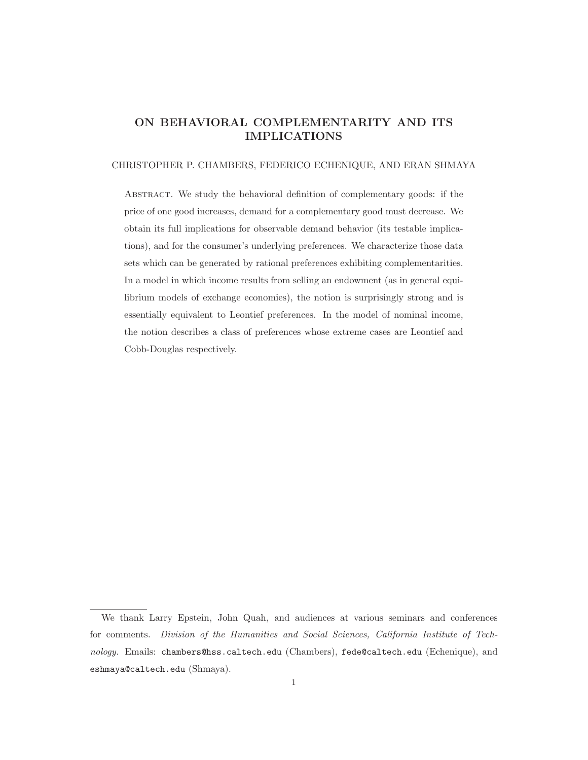# ON BEHAVIORAL COMPLEMENTARITY AND ITS IMPLICATIONS

#### CHRISTOPHER P. CHAMBERS, FEDERICO ECHENIQUE, AND ERAN SHMAYA

Abstract. We study the behavioral definition of complementary goods: if the price of one good increases, demand for a complementary good must decrease. We obtain its full implications for observable demand behavior (its testable implications), and for the consumer's underlying preferences. We characterize those data sets which can be generated by rational preferences exhibiting complementarities. In a model in which income results from selling an endowment (as in general equilibrium models of exchange economies), the notion is surprisingly strong and is essentially equivalent to Leontief preferences. In the model of nominal income, the notion describes a class of preferences whose extreme cases are Leontief and Cobb-Douglas respectively.

We thank Larry Epstein, John Quah, and audiences at various seminars and conferences for comments. Division of the Humanities and Social Sciences, California Institute of Technology. Emails: chambers@hss.caltech.edu (Chambers), fede@caltech.edu (Echenique), and eshmaya@caltech.edu (Shmaya).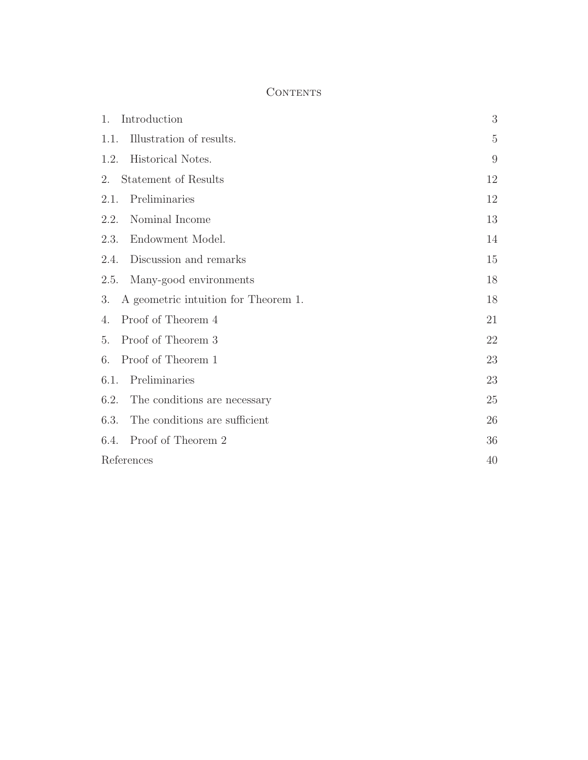# **CONTENTS**

| 1.<br>Introduction                         | 3              |
|--------------------------------------------|----------------|
| 1.1.<br>Illustration of results.           | $\overline{5}$ |
| Historical Notes.<br>1.2.                  | 9              |
| 2.<br>Statement of Results                 | 12             |
| 2.1.<br>Preliminaries                      | 12             |
| Nominal Income<br>2.2.                     | 13             |
| 2.3. Endowment Model.                      | 14             |
| 2.4.<br>Discussion and remarks             | 15             |
| Many-good environments<br>2.5.             | 18             |
| 3.<br>A geometric intuition for Theorem 1. | 18             |
| Proof of Theorem 4<br>4.                   | 21             |
| 5. Proof of Theorem 3                      | 22             |
| 6.<br>Proof of Theorem 1                   | 23             |
| 6.1.<br>Preliminaries                      | 23             |
| 6.2. The conditions are necessary          | 25             |
| 6.3.<br>The conditions are sufficient      | 26             |
| 6.4. Proof of Theorem 2                    | 36             |
| References                                 | 40             |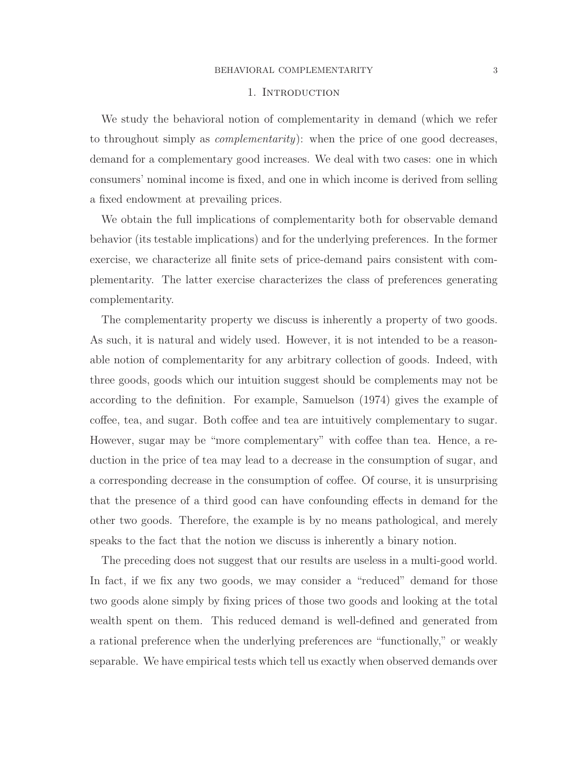#### 1. INTRODUCTION

We study the behavioral notion of complementarity in demand (which we refer to throughout simply as *complementarity*): when the price of one good decreases, demand for a complementary good increases. We deal with two cases: one in which consumers' nominal income is fixed, and one in which income is derived from selling a fixed endowment at prevailing prices.

We obtain the full implications of complementarity both for observable demand behavior (its testable implications) and for the underlying preferences. In the former exercise, we characterize all finite sets of price-demand pairs consistent with complementarity. The latter exercise characterizes the class of preferences generating complementarity.

The complementarity property we discuss is inherently a property of two goods. As such, it is natural and widely used. However, it is not intended to be a reasonable notion of complementarity for any arbitrary collection of goods. Indeed, with three goods, goods which our intuition suggest should be complements may not be according to the definition. For example, Samuelson (1974) gives the example of coffee, tea, and sugar. Both coffee and tea are intuitively complementary to sugar. However, sugar may be "more complementary" with coffee than tea. Hence, a reduction in the price of tea may lead to a decrease in the consumption of sugar, and a corresponding decrease in the consumption of coffee. Of course, it is unsurprising that the presence of a third good can have confounding effects in demand for the other two goods. Therefore, the example is by no means pathological, and merely speaks to the fact that the notion we discuss is inherently a binary notion.

The preceding does not suggest that our results are useless in a multi-good world. In fact, if we fix any two goods, we may consider a "reduced" demand for those two goods alone simply by fixing prices of those two goods and looking at the total wealth spent on them. This reduced demand is well-defined and generated from a rational preference when the underlying preferences are "functionally," or weakly separable. We have empirical tests which tell us exactly when observed demands over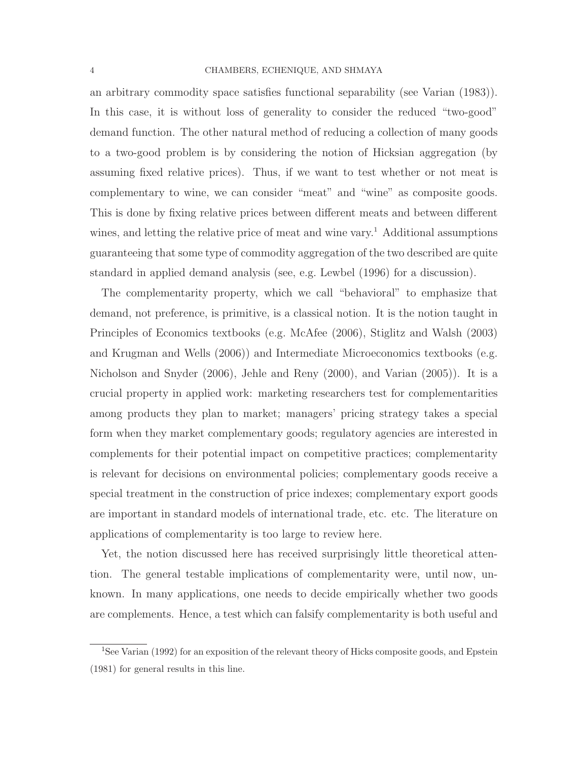### 4 CHAMBERS, ECHENIQUE, AND SHMAYA

an arbitrary commodity space satisfies functional separability (see Varian (1983)). In this case, it is without loss of generality to consider the reduced "two-good" demand function. The other natural method of reducing a collection of many goods to a two-good problem is by considering the notion of Hicksian aggregation (by assuming fixed relative prices). Thus, if we want to test whether or not meat is complementary to wine, we can consider "meat" and "wine" as composite goods. This is done by fixing relative prices between different meats and between different wines, and letting the relative price of meat and wine vary.<sup>1</sup> Additional assumptions guaranteeing that some type of commodity aggregation of the two described are quite standard in applied demand analysis (see, e.g. Lewbel (1996) for a discussion).

The complementarity property, which we call "behavioral" to emphasize that demand, not preference, is primitive, is a classical notion. It is the notion taught in Principles of Economics textbooks (e.g. McAfee (2006), Stiglitz and Walsh (2003) and Krugman and Wells (2006)) and Intermediate Microeconomics textbooks (e.g. Nicholson and Snyder (2006), Jehle and Reny (2000), and Varian (2005)). It is a crucial property in applied work: marketing researchers test for complementarities among products they plan to market; managers' pricing strategy takes a special form when they market complementary goods; regulatory agencies are interested in complements for their potential impact on competitive practices; complementarity is relevant for decisions on environmental policies; complementary goods receive a special treatment in the construction of price indexes; complementary export goods are important in standard models of international trade, etc. etc. The literature on applications of complementarity is too large to review here.

Yet, the notion discussed here has received surprisingly little theoretical attention. The general testable implications of complementarity were, until now, unknown. In many applications, one needs to decide empirically whether two goods are complements. Hence, a test which can falsify complementarity is both useful and

<sup>&</sup>lt;sup>1</sup>See Varian (1992) for an exposition of the relevant theory of Hicks composite goods, and Epstein (1981) for general results in this line.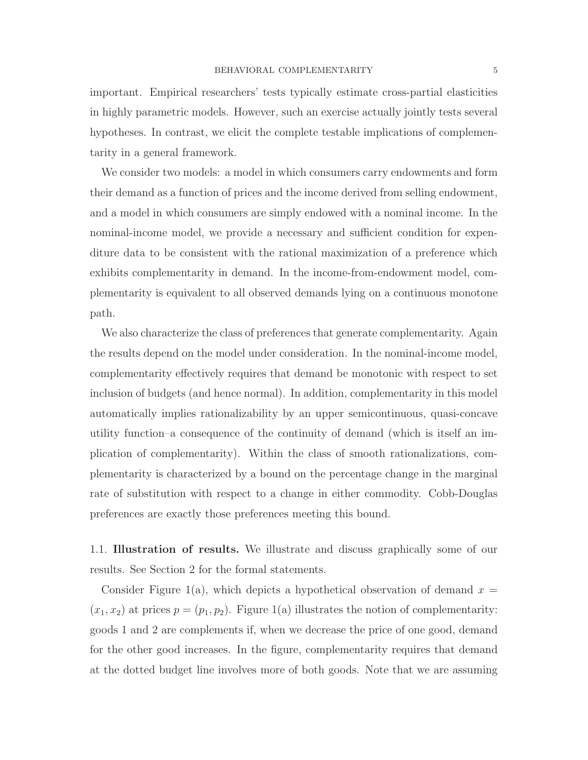important. Empirical researchers' tests typically estimate cross-partial elasticities in highly parametric models. However, such an exercise actually jointly tests several hypotheses. In contrast, we elicit the complete testable implications of complementarity in a general framework.

We consider two models: a model in which consumers carry endowments and form their demand as a function of prices and the income derived from selling endowment, and a model in which consumers are simply endowed with a nominal income. In the nominal-income model, we provide a necessary and sufficient condition for expenditure data to be consistent with the rational maximization of a preference which exhibits complementarity in demand. In the income-from-endowment model, complementarity is equivalent to all observed demands lying on a continuous monotone path.

We also characterize the class of preferences that generate complementarity. Again the results depend on the model under consideration. In the nominal-income model, complementarity effectively requires that demand be monotonic with respect to set inclusion of budgets (and hence normal). In addition, complementarity in this model automatically implies rationalizability by an upper semicontinuous, quasi-concave utility function–a consequence of the continuity of demand (which is itself an implication of complementarity). Within the class of smooth rationalizations, complementarity is characterized by a bound on the percentage change in the marginal rate of substitution with respect to a change in either commodity. Cobb-Douglas preferences are exactly those preferences meeting this bound.

1.1. Illustration of results. We illustrate and discuss graphically some of our results. See Section 2 for the formal statements.

Consider Figure 1(a), which depicts a hypothetical observation of demand  $x =$  $(x_1, x_2)$  at prices  $p = (p_1, p_2)$ . Figure 1(a) illustrates the notion of complementarity: goods 1 and 2 are complements if, when we decrease the price of one good, demand for the other good increases. In the figure, complementarity requires that demand at the dotted budget line involves more of both goods. Note that we are assuming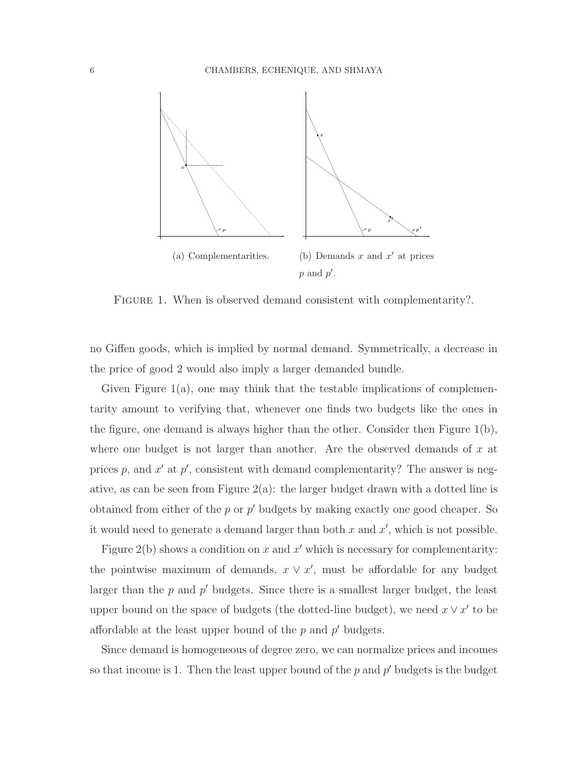

FIGURE 1. When is observed demand consistent with complementarity?.

no Giffen goods, which is implied by normal demand. Symmetrically, a decrease in the price of good 2 would also imply a larger demanded bundle.

Given Figure 1(a), one may think that the testable implications of complementarity amount to verifying that, whenever one finds two budgets like the ones in the figure, one demand is always higher than the other. Consider then Figure  $1(b)$ , where one budget is not larger than another. Are the observed demands of  $x$  at prices  $p$ , and  $x'$  at  $p'$ , consistent with demand complementarity? The answer is negative, as can be seen from Figure  $2(a)$ : the larger budget drawn with a dotted line is obtained from either of the  $p$  or  $p'$  budgets by making exactly one good cheaper. So it would need to generate a demand larger than both  $x$  and  $x'$ , which is not possible.

Figure  $2(b)$  shows a condition on x and x' which is necessary for complementarity: the pointwise maximum of demands,  $x \vee x'$ , must be affordable for any budget larger than the  $p$  and  $p'$  budgets. Since there is a smallest larger budget, the least upper bound on the space of budgets (the dotted-line budget), we need  $x \vee x'$  to be affordable at the least upper bound of the  $p$  and  $p'$  budgets.

Since demand is homogeneous of degree zero, we can normalize prices and incomes so that income is 1. Then the least upper bound of the  $p$  and  $p'$  budgets is the budget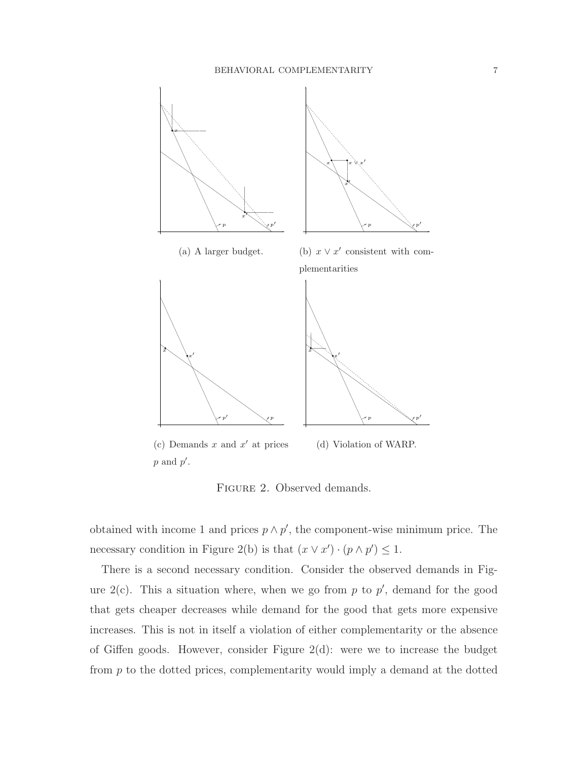

Figure 2. Observed demands.

obtained with income 1 and prices  $p \wedge p'$ , the component-wise minimum price. The necessary condition in Figure 2(b) is that  $(x \vee x') \cdot (p \wedge p') \leq 1$ .

There is a second necessary condition. Consider the observed demands in Figure  $2(c)$ . This a situation where, when we go from p to p', demand for the good that gets cheaper decreases while demand for the good that gets more expensive increases. This is not in itself a violation of either complementarity or the absence of Giffen goods. However, consider Figure 2(d): were we to increase the budget from p to the dotted prices, complementarity would imply a demand at the dotted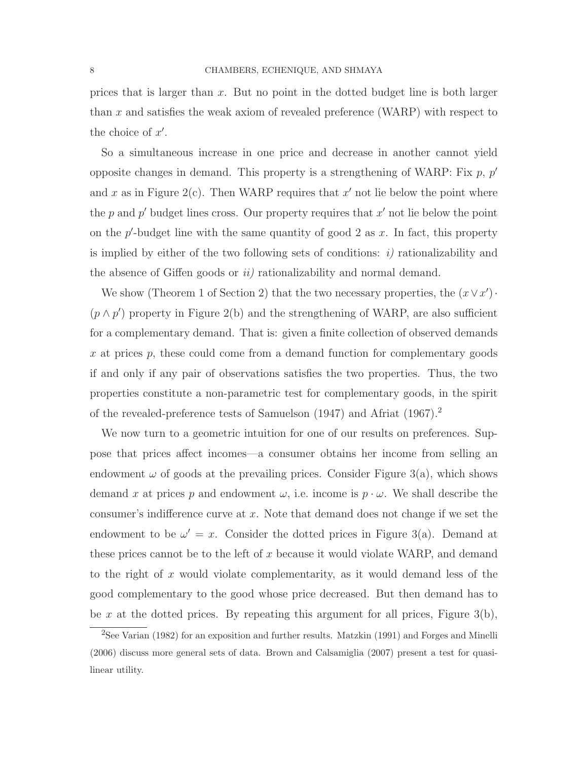prices that is larger than  $x$ . But no point in the dotted budget line is both larger than x and satisfies the weak axiom of revealed preference (WARP) with respect to the choice of  $x'$ .

So a simultaneous increase in one price and decrease in another cannot yield opposite changes in demand. This property is a strengthening of WARP: Fix  $p$ ,  $p'$ and x as in Figure 2(c). Then WARP requires that  $x'$  not lie below the point where the  $p$  and  $p'$  budget lines cross. Our property requires that  $x'$  not lie below the point on the  $p'$ -budget line with the same quantity of good 2 as  $x$ . In fact, this property is implied by either of the two following sets of conditions:  $i)$  rationalizability and the absence of Giffen goods or  $ii$ ) rationalizability and normal demand.

We show (Theorem 1 of Section 2) that the two necessary properties, the  $(x \vee x')$ .  $(p \wedge p')$  property in Figure 2(b) and the strengthening of WARP, are also sufficient for a complementary demand. That is: given a finite collection of observed demands x at prices  $p$ , these could come from a demand function for complementary goods if and only if any pair of observations satisfies the two properties. Thus, the two properties constitute a non-parametric test for complementary goods, in the spirit of the revealed-preference tests of Samuelson (1947) and Afriat (1967).<sup>2</sup>

We now turn to a geometric intuition for one of our results on preferences. Suppose that prices affect incomes—a consumer obtains her income from selling an endowment  $\omega$  of goods at the prevailing prices. Consider Figure 3(a), which shows demand x at prices p and endowment  $\omega$ , i.e. income is  $p \cdot \omega$ . We shall describe the consumer's indifference curve at x. Note that demand does not change if we set the endowment to be  $\omega' = x$ . Consider the dotted prices in Figure 3(a). Demand at these prices cannot be to the left of x because it would violate WARP, and demand to the right of x would violate complementarity, as it would demand less of the good complementary to the good whose price decreased. But then demand has to be x at the dotted prices. By repeating this argument for all prices, Figure  $3(b)$ ,

<sup>&</sup>lt;sup>2</sup>See Varian (1982) for an exposition and further results. Matzkin (1991) and Forges and Minelli (2006) discuss more general sets of data. Brown and Calsamiglia (2007) present a test for quasilinear utility.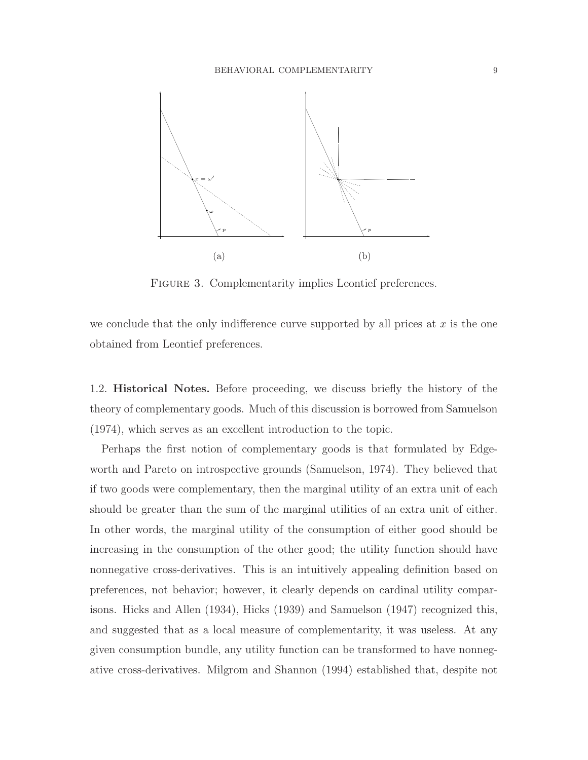

FIGURE 3. Complementarity implies Leontief preferences.

we conclude that the only indifference curve supported by all prices at  $x$  is the one obtained from Leontief preferences.

1.2. Historical Notes. Before proceeding, we discuss briefly the history of the theory of complementary goods. Much of this discussion is borrowed from Samuelson (1974), which serves as an excellent introduction to the topic.

Perhaps the first notion of complementary goods is that formulated by Edgeworth and Pareto on introspective grounds (Samuelson, 1974). They believed that if two goods were complementary, then the marginal utility of an extra unit of each should be greater than the sum of the marginal utilities of an extra unit of either. In other words, the marginal utility of the consumption of either good should be increasing in the consumption of the other good; the utility function should have nonnegative cross-derivatives. This is an intuitively appealing definition based on preferences, not behavior; however, it clearly depends on cardinal utility comparisons. Hicks and Allen (1934), Hicks (1939) and Samuelson (1947) recognized this, and suggested that as a local measure of complementarity, it was useless. At any given consumption bundle, any utility function can be transformed to have nonnegative cross-derivatives. Milgrom and Shannon (1994) established that, despite not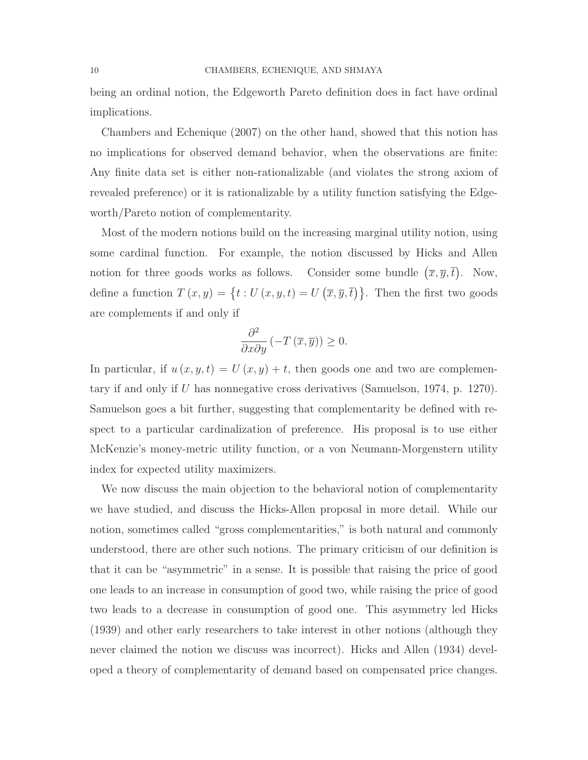being an ordinal notion, the Edgeworth Pareto definition does in fact have ordinal implications.

Chambers and Echenique (2007) on the other hand, showed that this notion has no implications for observed demand behavior, when the observations are finite: Any finite data set is either non-rationalizable (and violates the strong axiom of revealed preference) or it is rationalizable by a utility function satisfying the Edgeworth/Pareto notion of complementarity.

Most of the modern notions build on the increasing marginal utility notion, using some cardinal function. For example, the notion discussed by Hicks and Allen notion for three goods works as follows. Consider some bundle  $(\overline{x}, \overline{y}, \overline{t})$ . Now, define a function  $T(x,y) = \{t : U(x,y,t) = U(\overline{x},\overline{y},\overline{t})\}$ . Then the first two goods are complements if and only if

$$
\frac{\partial^2}{\partial x \partial y} \left( -T\left(\overline{x}, \overline{y}\right) \right) \ge 0.
$$

In particular, if  $u(x, y, t) = U(x, y) + t$ , then goods one and two are complementary if and only if U has nonnegative cross derivatives (Samuelson, 1974, p. 1270). Samuelson goes a bit further, suggesting that complementarity be defined with respect to a particular cardinalization of preference. His proposal is to use either McKenzie's money-metric utility function, or a von Neumann-Morgenstern utility index for expected utility maximizers.

We now discuss the main objection to the behavioral notion of complementarity we have studied, and discuss the Hicks-Allen proposal in more detail. While our notion, sometimes called "gross complementarities," is both natural and commonly understood, there are other such notions. The primary criticism of our definition is that it can be "asymmetric" in a sense. It is possible that raising the price of good one leads to an increase in consumption of good two, while raising the price of good two leads to a decrease in consumption of good one. This asymmetry led Hicks (1939) and other early researchers to take interest in other notions (although they never claimed the notion we discuss was incorrect). Hicks and Allen (1934) developed a theory of complementarity of demand based on compensated price changes.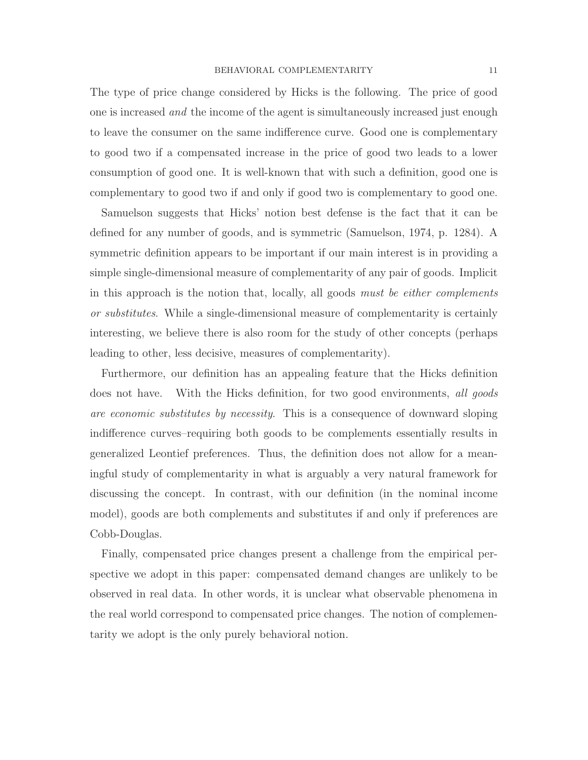The type of price change considered by Hicks is the following. The price of good one is increased and the income of the agent is simultaneously increased just enough to leave the consumer on the same indifference curve. Good one is complementary to good two if a compensated increase in the price of good two leads to a lower consumption of good one. It is well-known that with such a definition, good one is complementary to good two if and only if good two is complementary to good one.

Samuelson suggests that Hicks' notion best defense is the fact that it can be defined for any number of goods, and is symmetric (Samuelson, 1974, p. 1284). A symmetric definition appears to be important if our main interest is in providing a simple single-dimensional measure of complementarity of any pair of goods. Implicit in this approach is the notion that, locally, all goods must be either complements or substitutes. While a single-dimensional measure of complementarity is certainly interesting, we believe there is also room for the study of other concepts (perhaps leading to other, less decisive, measures of complementarity).

Furthermore, our definition has an appealing feature that the Hicks definition does not have. With the Hicks definition, for two good environments, all goods are economic substitutes by necessity. This is a consequence of downward sloping indifference curves–requiring both goods to be complements essentially results in generalized Leontief preferences. Thus, the definition does not allow for a meaningful study of complementarity in what is arguably a very natural framework for discussing the concept. In contrast, with our definition (in the nominal income model), goods are both complements and substitutes if and only if preferences are Cobb-Douglas.

Finally, compensated price changes present a challenge from the empirical perspective we adopt in this paper: compensated demand changes are unlikely to be observed in real data. In other words, it is unclear what observable phenomena in the real world correspond to compensated price changes. The notion of complementarity we adopt is the only purely behavioral notion.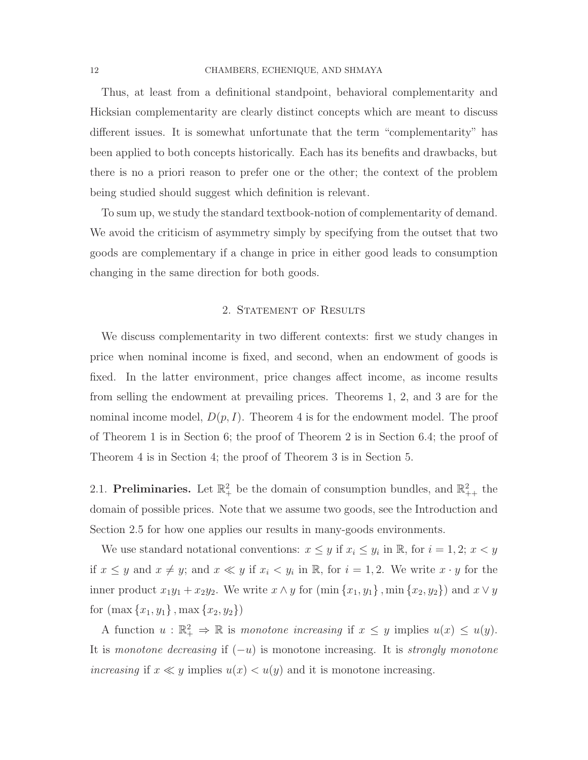#### 12 CHAMBERS, ECHENIQUE, AND SHMAYA

Thus, at least from a definitional standpoint, behavioral complementarity and Hicksian complementarity are clearly distinct concepts which are meant to discuss different issues. It is somewhat unfortunate that the term "complementarity" has been applied to both concepts historically. Each has its benefits and drawbacks, but there is no a priori reason to prefer one or the other; the context of the problem being studied should suggest which definition is relevant.

To sum up, we study the standard textbook-notion of complementarity of demand. We avoid the criticism of asymmetry simply by specifying from the outset that two goods are complementary if a change in price in either good leads to consumption changing in the same direction for both goods.

## 2. STATEMENT OF RESULTS

We discuss complementarity in two different contexts: first we study changes in price when nominal income is fixed, and second, when an endowment of goods is fixed. In the latter environment, price changes affect income, as income results from selling the endowment at prevailing prices. Theorems 1, 2, and 3 are for the nominal income model,  $D(p, I)$ . Theorem 4 is for the endowment model. The proof of Theorem 1 is in Section 6; the proof of Theorem 2 is in Section 6.4; the proof of Theorem 4 is in Section 4; the proof of Theorem 3 is in Section 5.

2.1. Preliminaries. Let  $\mathbb{R}^2_+$  be the domain of consumption bundles, and  $\mathbb{R}^2_{++}$  the domain of possible prices. Note that we assume two goods, see the Introduction and Section 2.5 for how one applies our results in many-goods environments.

We use standard notational conventions:  $x \leq y$  if  $x_i \leq y_i$  in  $\mathbb{R}$ , for  $i = 1, 2; x < y$ if  $x \leq y$  and  $x \neq y$ ; and  $x \ll y$  if  $x_i < y_i$  in  $\mathbb{R}$ , for  $i = 1, 2$ . We write  $x \cdot y$  for the inner product  $x_1y_1 + x_2y_2$ . We write  $x \wedge y$  for  $(\min\{x_1, y_1\}, \min\{x_2, y_2\})$  and  $x \vee y$ for  $(\max\{x_1, y_1\}, \max\{x_2, y_2\})$ 

A function  $u : \mathbb{R}^2_+ \Rightarrow \mathbb{R}$  is monotone increasing if  $x \leq y$  implies  $u(x) \leq u(y)$ . It is monotone decreasing if  $(-u)$  is monotone increasing. It is strongly monotone increasing if  $x \ll y$  implies  $u(x) < u(y)$  and it is monotone increasing.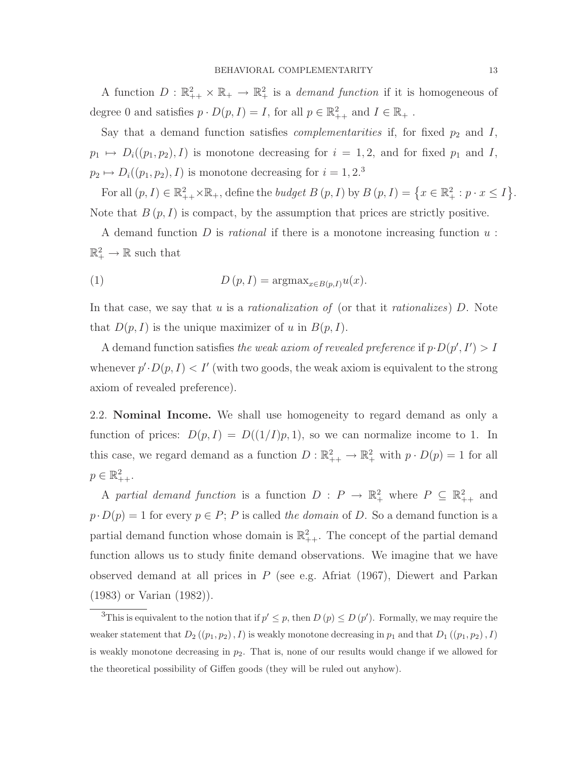A function  $D : \mathbb{R}^2_{++} \times \mathbb{R}_{+} \to \mathbb{R}^2_{+}$  is a *demand function* if it is homogeneous of degree 0 and satisfies  $p \cdot D(p, I) = I$ , for all  $p \in \mathbb{R}^2_{++}$  and  $I \in \mathbb{R}_+$ .

Say that a demand function satisfies *complementarities* if, for fixed  $p_2$  and  $I$ ,  $p_1 \mapsto D_i((p_1, p_2), I)$  is monotone decreasing for  $i = 1, 2$ , and for fixed  $p_1$  and I,  $p_2 \mapsto D_i((p_1, p_2), I)$  is monotone decreasing for  $i = 1, 2$ .<sup>3</sup>

For all  $(p, I) \in \mathbb{R}^2_{++} \times \mathbb{R}_+$ , define the *budget B*  $(p, I)$  by  $B(p, I) = \left\{x \in \mathbb{R}^2_+ : p \cdot x \leq I\right\}$ . Note that  $B(p, I)$  is compact, by the assumption that prices are strictly positive.

A demand function D is *rational* if there is a monotone increasing function  $u$ :  $\mathbb{R}^2_+ \to \mathbb{R}$  such that

(1) 
$$
D(p, I) = \operatorname{argmax}_{x \in B(p, I)} u(x).
$$

In that case, we say that u is a *rationalization of* (or that it *rationalizes*)  $D$ . Note that  $D(p, I)$  is the unique maximizer of u in  $B(p, I)$ .

A demand function satisfies the weak axiom of revealed preference if  $p \cdot D(p', I') > I$ whenever  $p'.D(p,I) < I'$  (with two goods, the weak axiom is equivalent to the strong axiom of revealed preference).

2.2. Nominal Income. We shall use homogeneity to regard demand as only a function of prices:  $D(p, I) = D((1/I)p, 1)$ , so we can normalize income to 1. In this case, we regard demand as a function  $D : \mathbb{R}^2_{++} \to \mathbb{R}^2_+$  with  $p \cdot D(p) = 1$  for all  $p \in \mathbb{R}^2_{++}.$ 

A partial demand function is a function  $D: P \to \mathbb{R}^2_+$  where  $P \subseteq \mathbb{R}^2_{++}$  and  $p \cdot D(p) = 1$  for every  $p \in P$ ; P is called the domain of D. So a demand function is a partial demand function whose domain is  $\mathbb{R}^2_{++}$ . The concept of the partial demand function allows us to study finite demand observations. We imagine that we have observed demand at all prices in  $P$  (see e.g. Afriat (1967), Diewert and Parkan (1983) or Varian (1982)).

<sup>3</sup>This is equivalent to the notion that if  $p' \leq p$ , then  $D(p) \leq D(p')$ . Formally, we may require the weaker statement that  $D_2((p_1,p_2),I)$  is weakly monotone decreasing in  $p_1$  and that  $D_1((p_1,p_2),I)$ is weakly monotone decreasing in  $p_2$ . That is, none of our results would change if we allowed for the theoretical possibility of Giffen goods (they will be ruled out anyhow).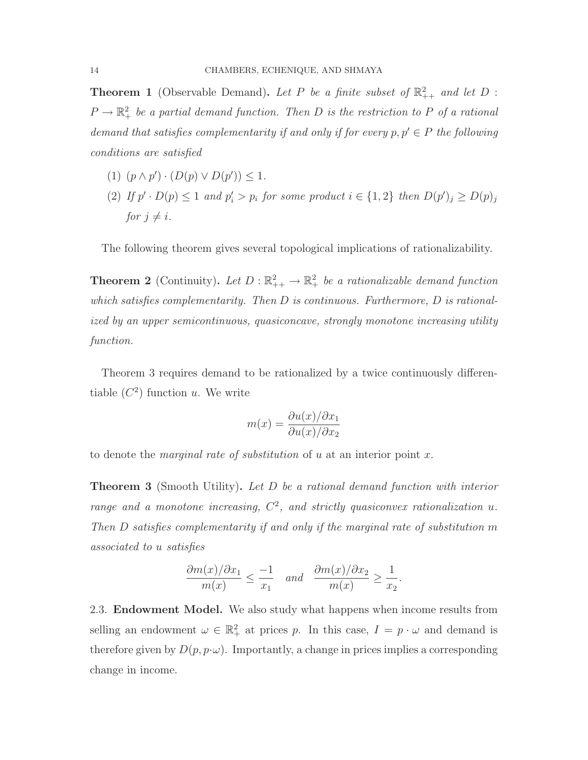**Theorem 1** (Observable Demand). Let P be a finite subset of  $\mathbb{R}^2_{++}$  and let D :  $P \to \mathbb{R}_+^2$  be a partial demand function. Then D is the restriction to P of a rational demand that satisfies complementarity if and only if for every  $p, p' \in P$  the following conditions are satisfied

- (1)  $(p \wedge p') \cdot (D(p) \vee D(p')) \leq 1.$
- (2) If  $p' \cdot D(p) \leq 1$  and  $p'_i > p_i$  for some product  $i \in \{1,2\}$  then  $D(p')_j \geq D(p)_j$ for  $j \neq i$ .

The following theorem gives several topological implications of rationalizability.

**Theorem 2** (Continuity). Let  $D: \mathbb{R}^2_{++} \to \mathbb{R}^2_+$  be a rationalizable demand function which satisfies complementarity. Then  $D$  is continuous. Furthermore,  $D$  is rationalized by an upper semicontinuous, quasiconcave, strongly monotone increasing utility function.

Theorem 3 requires demand to be rationalized by a twice continuously differentiable  $(C^2)$  function u. We write

$$
m(x) = \frac{\partial u(x)/\partial x_1}{\partial u(x)/\partial x_2}
$$

to denote the *marginal rate of substitution* of u at an interior point x.

**Theorem 3** (Smooth Utility). Let D be a rational demand function with interior range and a monotone increasing,  $C^2$ , and strictly quasiconvex rationalization u. Then D satisfies complementarity if and only if the marginal rate of substitution m associated to u satisfies

$$
\frac{\partial m(x)/\partial x_1}{m(x)} \le \frac{-1}{x_1} \quad and \quad \frac{\partial m(x)/\partial x_2}{m(x)} \ge \frac{1}{x_2}.
$$

2.3. Endowment Model. We also study what happens when income results from selling an endowment  $\omega \in \mathbb{R}^2_+$  at prices p. In this case,  $I = p \cdot \omega$  and demand is therefore given by  $D(p, p \cdot \omega)$ . Importantly, a change in prices implies a corresponding change in income.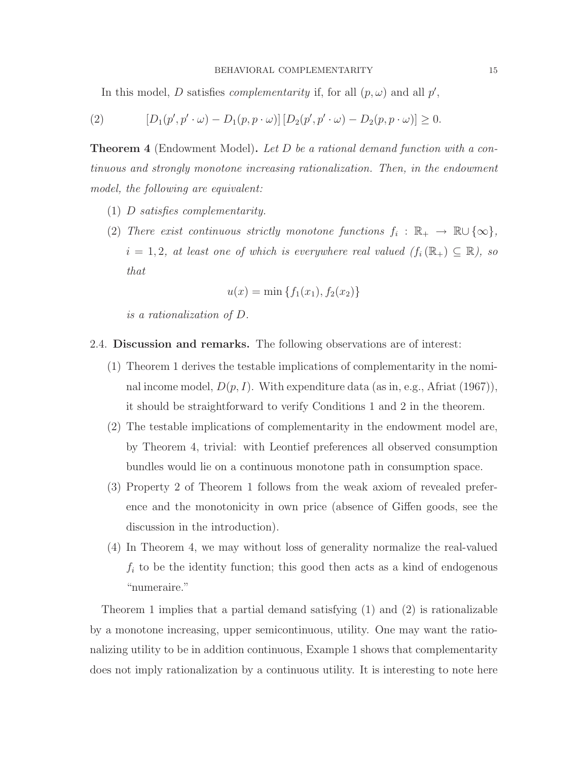In this model, D satisfies *complementarity* if, for all  $(p, \omega)$  and all  $p'$ ,

(2) 
$$
[D_1(p', p' \cdot \omega) - D_1(p, p \cdot \omega)] [D_2(p', p' \cdot \omega) - D_2(p, p \cdot \omega)] \ge 0.
$$

Theorem 4 (Endowment Model). Let D be a rational demand function with a continuous and strongly monotone increasing rationalization. Then, in the endowment model, the following are equivalent:

- (1) D satisfies complementarity.
- (2) There exist continuous strictly monotone functions  $f_i : \mathbb{R}_+ \to \mathbb{R} \cup \{\infty\},\$  $i = 1, 2$ , at least one of which is everywhere real valued  $(f_i(\mathbb{R}_+) \subseteq \mathbb{R})$ , so that

$$
u(x) = \min\{f_1(x_1), f_2(x_2)\}\
$$

is a rationalization of D.

- 2.4. Discussion and remarks. The following observations are of interest:
	- (1) Theorem 1 derives the testable implications of complementarity in the nominal income model,  $D(p, I)$ . With expenditure data (as in, e.g., Africat (1967)), it should be straightforward to verify Conditions 1 and 2 in the theorem.
	- (2) The testable implications of complementarity in the endowment model are, by Theorem 4, trivial: with Leontief preferences all observed consumption bundles would lie on a continuous monotone path in consumption space.
	- (3) Property 2 of Theorem 1 follows from the weak axiom of revealed preference and the monotonicity in own price (absence of Giffen goods, see the discussion in the introduction).
	- (4) In Theorem 4, we may without loss of generality normalize the real-valued  $f_i$  to be the identity function; this good then acts as a kind of endogenous "numeraire."

Theorem 1 implies that a partial demand satisfying (1) and (2) is rationalizable by a monotone increasing, upper semicontinuous, utility. One may want the rationalizing utility to be in addition continuous, Example 1 shows that complementarity does not imply rationalization by a continuous utility. It is interesting to note here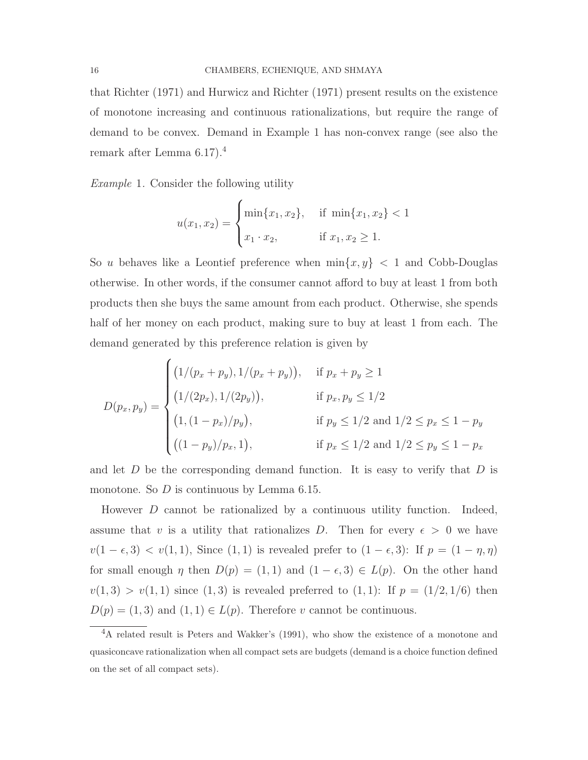that Richter (1971) and Hurwicz and Richter (1971) present results on the existence of monotone increasing and continuous rationalizations, but require the range of demand to be convex. Demand in Example 1 has non-convex range (see also the remark after Lemma 6.17).<sup>4</sup>

Example 1. Consider the following utility

$$
u(x_1, x_2) = \begin{cases} \min\{x_1, x_2\}, & \text{if } \min\{x_1, x_2\} < 1\\ x_1 \cdot x_2, & \text{if } x_1, x_2 \ge 1. \end{cases}
$$

So u behaves like a Leontief preference when  $\min\{x, y\}$  < 1 and Cobb-Douglas otherwise. In other words, if the consumer cannot afford to buy at least 1 from both products then she buys the same amount from each product. Otherwise, she spends half of her money on each product, making sure to buy at least 1 from each. The demand generated by this preference relation is given by

$$
D(p_x, p_y) = \begin{cases} (1/(p_x + p_y), 1/(p_x + p_y)), & \text{if } p_x + p_y \ge 1 \\ (1/(2p_x), 1/(2p_y)), & \text{if } p_x, p_y \le 1/2 \\ (1, (1 - p_x)/p_y), & \text{if } p_y \le 1/2 \text{ and } 1/2 \le p_x \le 1 - p_y \\ ((1 - p_y)/p_x, 1), & \text{if } p_x \le 1/2 \text{ and } 1/2 \le p_y \le 1 - p_x \end{cases}
$$

and let  $D$  be the corresponding demand function. It is easy to verify that  $D$  is monotone. So  $D$  is continuous by Lemma 6.15.

However D cannot be rationalized by a continuous utility function. Indeed, assume that v is a utility that rationalizes D. Then for every  $\epsilon > 0$  we have  $v(1 - \epsilon, 3) < v(1, 1)$ , Since  $(1, 1)$  is revealed prefer to  $(1 - \epsilon, 3)$ : If  $p = (1 - \eta, \eta)$ for small enough  $\eta$  then  $D(p) = (1, 1)$  and  $(1 - \epsilon, 3) \in L(p)$ . On the other hand  $v(1, 3) > v(1, 1)$  since  $(1, 3)$  is revealed preferred to  $(1, 1)$ : If  $p = (1/2, 1/6)$  then  $D(p) = (1, 3)$  and  $(1, 1) \in L(p)$ . Therefore v cannot be continuous.

<sup>&</sup>lt;sup>4</sup>A related result is Peters and Wakker's (1991), who show the existence of a monotone and quasiconcave rationalization when all compact sets are budgets (demand is a choice function defined on the set of all compact sets).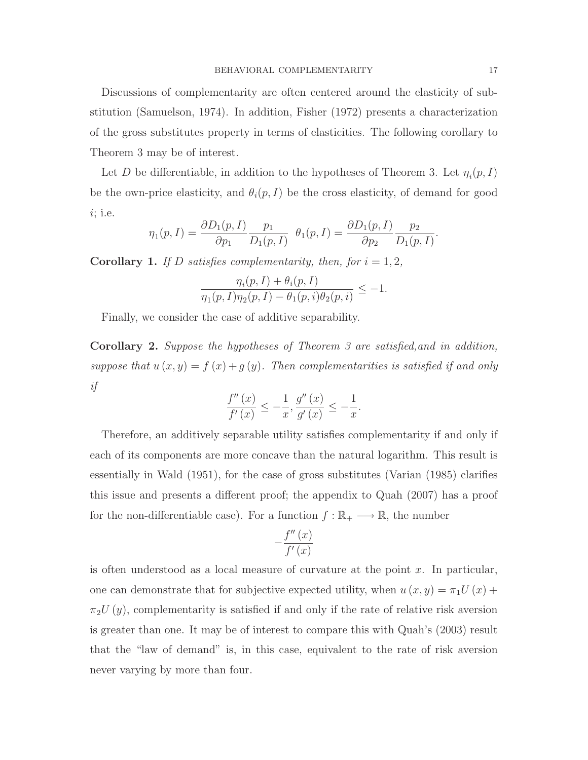Discussions of complementarity are often centered around the elasticity of substitution (Samuelson, 1974). In addition, Fisher (1972) presents a characterization of the gross substitutes property in terms of elasticities. The following corollary to Theorem 3 may be of interest.

Let D be differentiable, in addition to the hypotheses of Theorem 3. Let  $\eta_i(p, I)$ be the own-price elasticity, and  $\theta_i(p, I)$  be the cross elasticity, of demand for good i; i.e.

$$
\eta_1(p,I) = \frac{\partial D_1(p,I)}{\partial p_1} \frac{p_1}{D_1(p,I)} \ \theta_1(p,I) = \frac{\partial D_1(p,I)}{\partial p_2} \frac{p_2}{D_1(p,I)}.
$$

**Corollary 1.** If D satisfies complementarity, then, for  $i = 1, 2$ ,

$$
\frac{\eta_i(p, I) + \theta_i(p, I)}{\eta_1(p, I)\eta_2(p, I) - \theta_1(p, i)\theta_2(p, i)} \le -1.
$$

Finally, we consider the case of additive separability.

Corollary 2. Suppose the hypotheses of Theorem 3 are satisfied,and in addition, suppose that  $u(x, y) = f(x) + g(y)$ . Then complementarities is satisfied if and only if

$$
\frac{f''(x)}{f'(x)} \le -\frac{1}{x}, \frac{g''(x)}{g'(x)} \le -\frac{1}{x}.
$$

Therefore, an additively separable utility satisfies complementarity if and only if each of its components are more concave than the natural logarithm. This result is essentially in Wald (1951), for the case of gross substitutes (Varian (1985) clarifies this issue and presents a different proof; the appendix to Quah (2007) has a proof for the non-differentiable case). For a function  $f : \mathbb{R}_+ \longrightarrow \mathbb{R}$ , the number

$$
-\frac{f''\left(x\right)}{f'\left(x\right)}
$$

is often understood as a local measure of curvature at the point  $x$ . In particular, one can demonstrate that for subjective expected utility, when  $u(x, y) = \pi_1 U(x) +$  $\pi_2U(y)$ , complementarity is satisfied if and only if the rate of relative risk aversion is greater than one. It may be of interest to compare this with Quah's (2003) result that the "law of demand" is, in this case, equivalent to the rate of risk aversion never varying by more than four.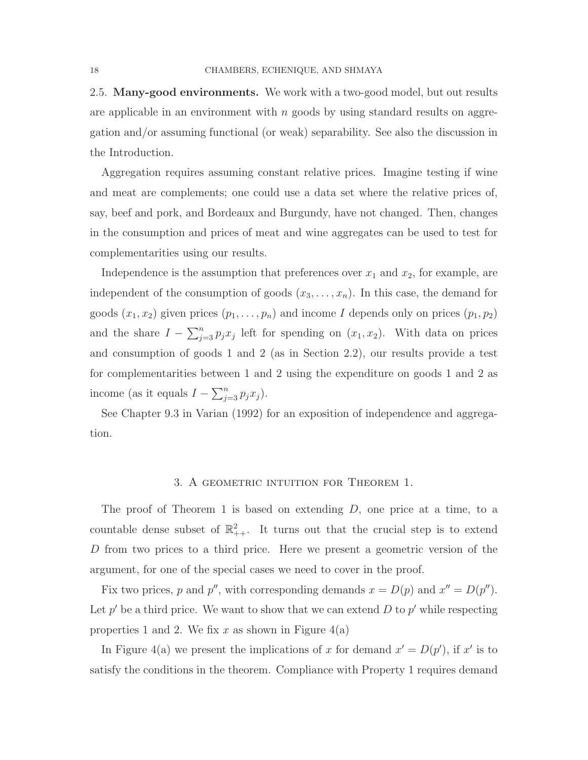2.5. Many-good environments. We work with a two-good model, but out results are applicable in an environment with  $n$  goods by using standard results on aggregation and/or assuming functional (or weak) separability. See also the discussion in the Introduction.

Aggregation requires assuming constant relative prices. Imagine testing if wine and meat are complements; one could use a data set where the relative prices of, say, beef and pork, and Bordeaux and Burgundy, have not changed. Then, changes in the consumption and prices of meat and wine aggregates can be used to test for complementarities using our results.

Independence is the assumption that preferences over  $x_1$  and  $x_2$ , for example, are independent of the consumption of goods  $(x_3, \ldots, x_n)$ . In this case, the demand for goods  $(x_1, x_2)$  given prices  $(p_1, \ldots, p_n)$  and income I depends only on prices  $(p_1, p_2)$ and the share  $I - \sum_{j=3}^{n} p_j x_j$  left for spending on  $(x_1, x_2)$ . With data on prices and consumption of goods 1 and 2 (as in Section 2.2), our results provide a test for complementarities between 1 and 2 using the expenditure on goods 1 and 2 as income (as it equals  $I - \sum_{j=3}^{n} p_j x_j$ ).

See Chapter 9.3 in Varian (1992) for an exposition of independence and aggregation.

#### 3. A geometric intuition for Theorem 1.

The proof of Theorem 1 is based on extending  $D$ , one price at a time, to a countable dense subset of  $\mathbb{R}^2_{++}$ . It turns out that the crucial step is to extend D from two prices to a third price. Here we present a geometric version of the argument, for one of the special cases we need to cover in the proof.

Fix two prices, p and p'', with corresponding demands  $x = D(p)$  and  $x'' = D(p'')$ . Let  $p'$  be a third price. We want to show that we can extend D to  $p'$  while respecting properties 1 and 2. We fix x as shown in Figure  $4(a)$ 

In Figure 4(a) we present the implications of x for demand  $x' = D(p')$ , if x' is to satisfy the conditions in the theorem. Compliance with Property 1 requires demand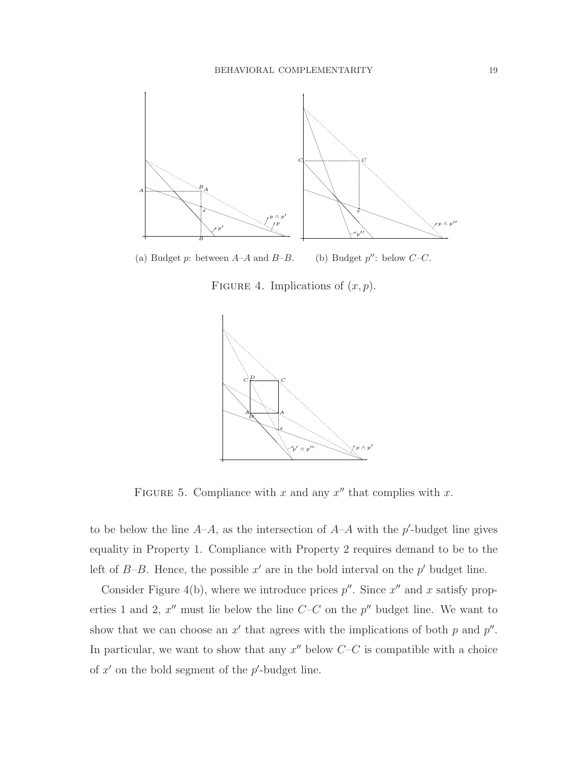

(a) Budget  $p$ : between  $A-A$  and  $B-B$ . (b) Budget  $p''$ : below  $C-C$ .

FIGURE 4. Implications of  $(x, p)$ .



FIGURE 5. Compliance with x and any  $x''$  that complies with x.

to be below the line  $A-A$ , as the intersection of  $A-A$  with the p'-budget line gives equality in Property 1. Compliance with Property 2 requires demand to be to the left of  $B$ -B. Hence, the possible  $x'$  are in the bold interval on the  $p'$  budget line.

Consider Figure 4(b), where we introduce prices  $p''$ . Since  $x''$  and x satisfy properties 1 and 2,  $x''$  must lie below the line  $C-C$  on the  $p''$  budget line. We want to show that we can choose an  $x'$  that agrees with the implications of both  $p$  and  $p''$ . In particular, we want to show that any  $x''$  below  $C-C$  is compatible with a choice of  $x'$  on the bold segment of the  $p'$ -budget line.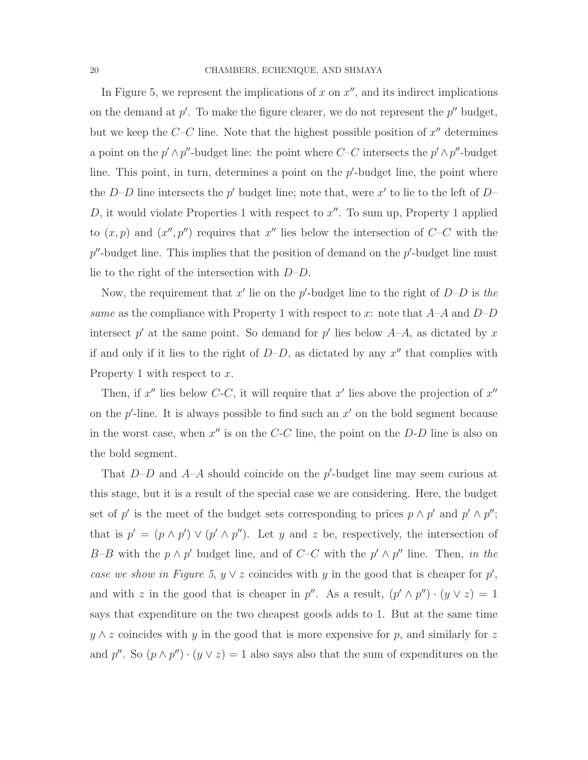In Figure 5, we represent the implications of  $x$  on  $x''$ , and its indirect implications on the demand at  $p'$ . To make the figure clearer, we do not represent the  $p''$  budget, but we keep the  $C-C$  line. Note that the highest possible position of  $x''$  determines a point on the  $p' \wedge p''$ -budget line: the point where  $C-C$  intersects the  $p' \wedge p''$ -budget line. This point, in turn, determines a point on the  $p'$ -budget line, the point where the D–D line intersects the  $p'$  budget line; note that, were  $x'$  to lie to the left of D– D, it would violate Properties 1 with respect to  $x''$ . To sum up, Property 1 applied to  $(x, p)$  and  $(x'', p'')$  requires that  $x''$  lies below the intersection of  $C-C$  with the  $p''$ -budget line. This implies that the position of demand on the  $p'$ -budget line must lie to the right of the intersection with  $D-D$ .

Now, the requirement that  $x'$  lie on the p'-budget line to the right of  $D-D$  is the same as the compliance with Property 1 with respect to x: note that  $A-A$  and  $D-D$ intersect  $p'$  at the same point. So demand for  $p'$  lies below  $A-A$ , as dictated by x if and only if it lies to the right of  $D-D$ , as dictated by any  $x''$  that complies with Property 1 with respect to x.

Then, if  $x''$  lies below C-C, it will require that  $x'$  lies above the projection of  $x''$ on the  $p'$ -line. It is always possible to find such an  $x'$  on the bold segment because in the worst case, when  $x''$  is on the  $C-C$  line, the point on the  $D-D$  line is also on the bold segment.

That  $D-D$  and  $A-A$  should coincide on the p'-budget line may seem curious at this stage, but it is a result of the special case we are considering. Here, the budget set of p' is the meet of the budget sets corresponding to prices  $p \wedge p'$  and  $p' \wedge p''$ ; that is  $p' = (p \wedge p') \vee (p' \wedge p'')$ . Let y and z be, respectively, the intersection of B–B with the  $p \wedge p'$  budget line, and of C–C with the  $p' \wedge p''$  line. Then, in the case we show in Figure 5,  $y \vee z$  coincides with y in the good that is cheaper for  $p'$ , and with z in the good that is cheaper in  $p''$ . As a result,  $(p' \wedge p'') \cdot (y \vee z) = 1$ says that expenditure on the two cheapest goods adds to 1. But at the same time  $y \wedge z$  coincides with y in the good that is more expensive for p, and similarly for z and p''. So  $(p \wedge p'') \cdot (y \vee z) = 1$  also says also that the sum of expenditures on the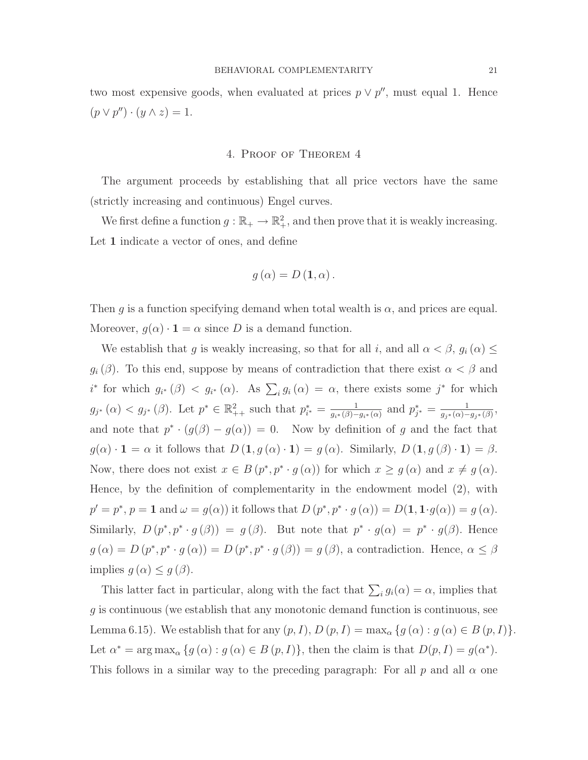two most expensive goods, when evaluated at prices  $p \vee p''$ , must equal 1. Hence  $(p \vee p'') \cdot (y \wedge z) = 1.$ 

#### 4. Proof of Theorem 4

The argument proceeds by establishing that all price vectors have the same (strictly increasing and continuous) Engel curves.

We first define a function  $g : \mathbb{R}_+ \to \mathbb{R}^2_+$ , and then prove that it is weakly increasing. Let 1 indicate a vector of ones, and define

$$
g\left(\alpha\right) = D\left(\mathbf{1},\alpha\right).
$$

Then g is a function specifying demand when total wealth is  $\alpha$ , and prices are equal. Moreover,  $g(\alpha) \cdot \mathbf{1} = \alpha$  since D is a demand function.

We establish that g is weakly increasing, so that for all i, and all  $\alpha < \beta$ ,  $g_i(\alpha) \leq$  $g_i(\beta)$ . To this end, suppose by means of contradiction that there exist  $\alpha < \beta$  and i<sup>\*</sup> for which  $g_{i^*}(\beta) < g_{i^*}(\alpha)$ . As  $\sum_i g_i(\alpha) = \alpha$ , there exists some j<sup>\*</sup> for which  $g_{j^*}(\alpha) < g_{j^*}(\beta)$ . Let  $p^* \in \mathbb{R}^2_{++}$  such that  $p_{i^*}^* = \frac{1}{q_{i^*}(\beta)-1}$  $\frac{1}{g_{i^*}(\beta)-g_{i^*}(\alpha)}$  and  $p_{j^*}^* = \frac{1}{g_{j^*}(\alpha)-1}$  $\frac{1}{g_{j^*}(\alpha)-g_{j^*}(\beta)},$ and note that  $p^* \cdot (g(\beta) - g(\alpha)) = 0$ . Now by definition of g and the fact that  $g(\alpha) \cdot \mathbf{1} = \alpha$  it follows that  $D(\mathbf{1}, g(\alpha) \cdot \mathbf{1}) = g(\alpha)$ . Similarly,  $D(\mathbf{1}, g(\beta) \cdot \mathbf{1}) = \beta$ . Now, there does not exist  $x \in B(p^*, p^* \cdot g(\alpha))$  for which  $x \ge g(\alpha)$  and  $x \ne g(\alpha)$ . Hence, by the definition of complementarity in the endowment model (2), with  $p' = p^*, p = 1$  and  $\omega = g(\alpha)$  it follows that  $D(p^*, p^* \cdot g(\alpha)) = D(1, 1 \cdot g(\alpha)) = g(\alpha)$ . Similarly,  $D(p^*, p^* \cdot g(\beta)) = g(\beta)$ . But note that  $p^* \cdot g(\alpha) = p^* \cdot g(\beta)$ . Hence  $g(\alpha) = D(p^*, p^* \cdot g(\alpha)) = D(p^*, p^* \cdot g(\beta)) = g(\beta)$ , a contradiction. Hence,  $\alpha \leq \beta$ implies  $g(\alpha) \leq g(\beta)$ .

This latter fact in particular, along with the fact that  $\sum_i g_i(\alpha) = \alpha$ , implies that g is continuous (we establish that any monotonic demand function is continuous, see Lemma 6.15). We establish that for any  $(p, I)$ ,  $D(p, I) = \max_{\alpha} \{g(\alpha) : g(\alpha) \in B(p, I)\}.$ Let  $\alpha^* = \arg \max_{\alpha} \{ g(\alpha) : g(\alpha) \in B(p, I) \}$ , then the claim is that  $D(p, I) = g(\alpha^*)$ . This follows in a similar way to the preceding paragraph: For all p and all  $\alpha$  one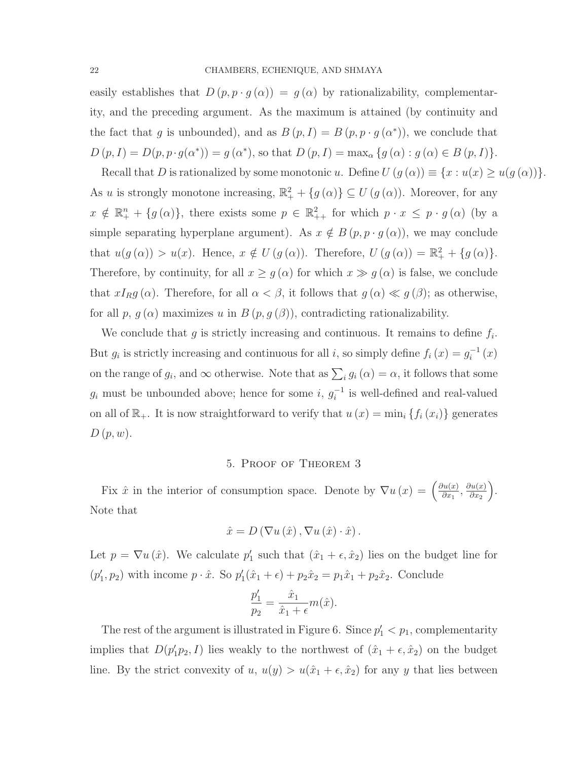easily establishes that  $D(p, p \cdot g(\alpha)) = g(\alpha)$  by rationalizability, complementarity, and the preceding argument. As the maximum is attained (by continuity and the fact that g is unbounded), and as  $B(p, I) = B(p, p \cdot g(\alpha^*))$ , we conclude that  $D(p, I) = D(p, p \cdot g(\alpha^*)) = g(\alpha^*)$ , so that  $D(p, I) = \max_{\alpha} \{g(\alpha) : g(\alpha) \in B(p, I)\}.$ 

Recall that D is rationalized by some monotonic u. Define  $U(g(\alpha)) \equiv \{x : u(x) \geq u(g(\alpha))\}.$ As u is strongly monotone increasing,  $\mathbb{R}^2_+ + \{g(\alpha)\} \subseteq U(g(\alpha))$ . Moreover, for any  $x \notin \mathbb{R}_+^n + \{g(\alpha)\}\$ , there exists some  $p \in \mathbb{R}^2_{++}$  for which  $p \cdot x \leq p \cdot g(\alpha)$  (by a simple separating hyperplane argument). As  $x \notin B(p, p \cdot g(\alpha))$ , we may conclude that  $u(g(\alpha)) > u(x)$ . Hence,  $x \notin U(g(\alpha))$ . Therefore,  $U(g(\alpha)) = \mathbb{R}^2_+ + \{g(\alpha)\}.$ Therefore, by continuity, for all  $x \ge g(\alpha)$  for which  $x \gg g(\alpha)$  is false, we conclude that  $xI_Rg(\alpha)$ . Therefore, for all  $\alpha < \beta$ , it follows that  $g(\alpha) \ll g(\beta)$ ; as otherwise, for all p,  $g(\alpha)$  maximizes u in  $B(p, g(\beta))$ , contradicting rationalizability.

We conclude that  $g$  is strictly increasing and continuous. It remains to define  $f_i$ . But  $g_i$  is strictly increasing and continuous for all i, so simply define  $f_i(x) = g_i^{-1}(x)$ on the range of  $g_i$ , and  $\infty$  otherwise. Note that as  $\sum_i g_i(\alpha) = \alpha$ , it follows that some  $g_i$  must be unbounded above; hence for some  $i, g_i^{-1}$  is well-defined and real-valued on all of  $\mathbb{R}_+$ . It is now straightforward to verify that  $u(x) = \min_i \{f_i(x_i)\}\$  generates  $D(p, w)$ .

#### 5. Proof of Theorem 3

Fix  $\hat{x}$  in the interior of consumption space. Denote by  $\nabla u(x) = \left(\frac{\partial u(x)}{\partial x}\right)^{n}$  $\frac{\partial u(x)}{\partial x_1}, \frac{\partial u(x)}{\partial x_2}$  $\frac{\partial u(x)}{\partial x_2}\bigg).$ Note that

$$
\hat{x} = D(\nabla u(\hat{x}), \nabla u(\hat{x}) \cdot \hat{x}).
$$

Let  $p = \nabla u(\hat{x})$ . We calculate  $p'_1$  such that  $(\hat{x}_1 + \epsilon, \hat{x}_2)$  lies on the budget line for  $(p'_1, p_2)$  with income  $p \cdot \hat{x}$ . So  $p'_1(\hat{x}_1 + \epsilon) + p_2 \hat{x}_2 = p_1 \hat{x}_1 + p_2 \hat{x}_2$ . Conclude

$$
\frac{p'_1}{p_2} = \frac{\hat{x}_1}{\hat{x}_1 + \epsilon} m(\hat{x}).
$$

The rest of the argument is illustrated in Figure 6. Since  $p'_1 < p_1$ , complementarity implies that  $D(p'_1p_2, I)$  lies weakly to the northwest of  $(\hat{x}_1 + \epsilon, \hat{x}_2)$  on the budget line. By the strict convexity of u,  $u(y) > u(\hat{x}_1 + \epsilon, \hat{x}_2)$  for any y that lies between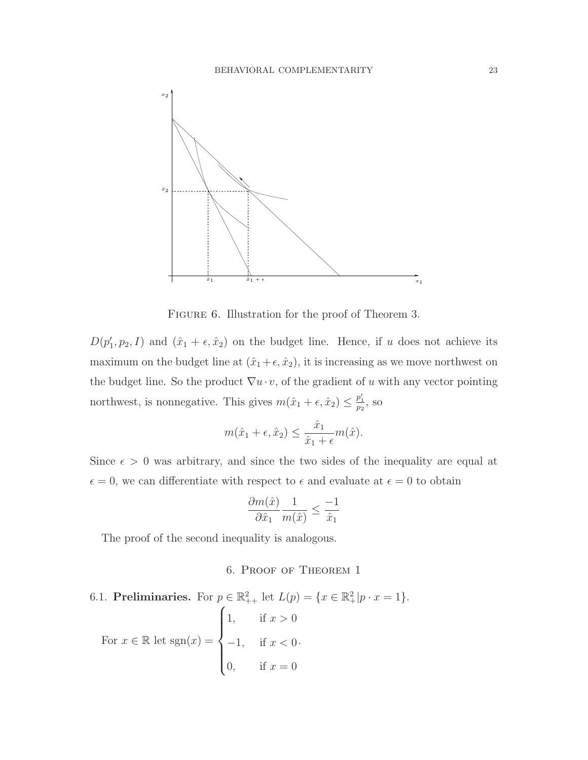

FIGURE 6. Illustration for the proof of Theorem 3.

 $D(p'_1, p_2, I)$  and  $(\hat{x}_1 + \epsilon, \hat{x}_2)$  on the budget line. Hence, if u does not achieve its maximum on the budget line at  $(\hat{x}_1 + \epsilon, \hat{x}_2)$ , it is increasing as we move northwest on the budget line. So the product  $\nabla u \cdot v$ , of the gradient of u with any vector pointing northwest, is nonnegative. This gives  $m(\hat{x}_1 + \epsilon, \hat{x}_2) \leq \frac{p'_1}{p_2}$ , so

$$
m(\hat{x}_1 + \epsilon, \hat{x}_2) \le \frac{\hat{x}_1}{\hat{x}_1 + \epsilon} m(\hat{x}).
$$

Since  $\epsilon > 0$  was arbitrary, and since the two sides of the inequality are equal at  $\epsilon = 0$ , we can differentiate with respect to  $\epsilon$  and evaluate at  $\epsilon = 0$  to obtain

$$
\frac{\partial m(\hat{x})}{\partial \hat{x}_1} \frac{1}{m(\hat{x})} \le \frac{-1}{\hat{x}_1}
$$

The proof of the second inequality is analogous.

## 6. Proof of Theorem 1

6.1. Preliminaries. For  $p \in \mathbb{R}^2_{++}$  let  $L(p) = \{x \in \mathbb{R}^2_+ | p \cdot x = 1\}.$ For  $x \in \mathbb{R}$  let  $sgn(x) =$  $\sqrt{ }$  $\int$  $\overline{\mathcal{L}}$ 1, if  $x > 0$  $-1$ , if  $x < 0$ 0, if  $x = 0$ .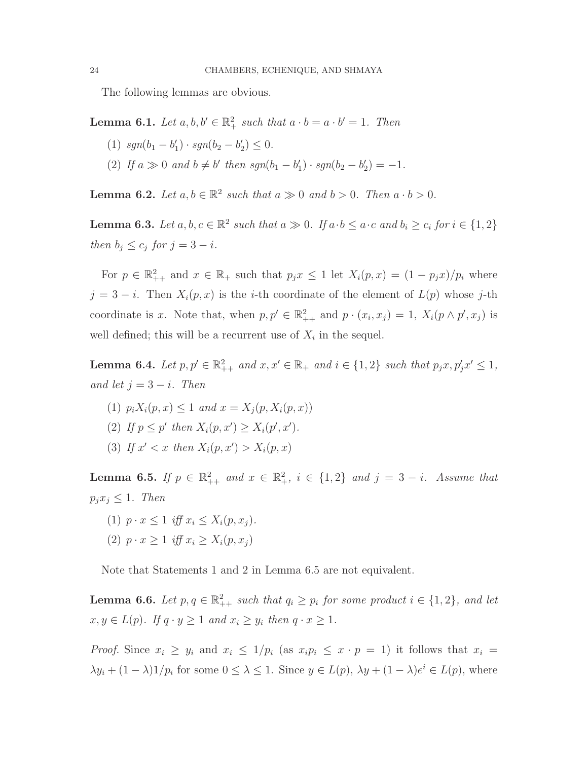The following lemmas are obvious.

**Lemma 6.1.** Let  $a, b, b' \in \mathbb{R}^2_+$  such that  $a \cdot b = a \cdot b' = 1$ . Then

- (1)  $sgn(b_1 b'_1) \cdot sgn(b_2 b'_2) \leq 0.$
- (2) If  $a \gg 0$  and  $b \neq b'$  then  $sgn(b_1 b'_1) \cdot sgn(b_2 b'_2) = -1$ .

**Lemma 6.2.** Let  $a, b \in \mathbb{R}^2$  such that  $a \gg 0$  and  $b > 0$ . Then  $a \cdot b > 0$ .

**Lemma 6.3.** Let  $a, b, c \in \mathbb{R}^2$  such that  $a \gg 0$ . If  $a \cdot b \leq a \cdot c$  and  $b_i \geq c_i$  for  $i \in \{1, 2\}$ then  $b_j \leq c_j$  for  $j = 3 - i$ .

For  $p \in \mathbb{R}^2_{++}$  and  $x \in \mathbb{R}_+$  such that  $p_j x \leq 1$  let  $X_i(p, x) = (1 - p_j x)/p_i$  where  $j = 3 - i$ . Then  $X_i(p, x)$  is the *i*-th coordinate of the element of  $L(p)$  whose j-th coordinate is x. Note that, when  $p, p' \in \mathbb{R}^2_{++}$  and  $p \cdot (x_i, x_j) = 1$ ,  $X_i(p \wedge p', x_j)$  is well defined; this will be a recurrent use of  $X_i$  in the sequel.

**Lemma 6.4.** Let  $p, p' \in \mathbb{R}^2_{++}$  and  $x, x' \in \mathbb{R}_+$  and  $i \in \{1, 2\}$  such that  $p_j x, p'_j x' \leq 1$ , and let  $j = 3 - i$ . Then

(1)  $p_i X_i(p, x) \le 1$  and  $x = X_i(p, X_i(p, x))$ (2) If  $p \leq p'$  then  $X_i(p, x') \geq X_i(p', x')$ . (3) If  $x' < x$  then  $X_i(p, x') > X_i(p, x)$ 

**Lemma 6.5.** If  $p \in \mathbb{R}^2_{++}$  and  $x \in \mathbb{R}^2_+$ ,  $i \in \{1,2\}$  and  $j = 3 - i$ . Assume that  $p_j x_j \leq 1$ . Then

- (1)  $p \cdot x \leq 1$  iff  $x_i \leq X_i(p, x_i)$ .
- (2)  $p \cdot x > 1$  iff  $x_i > X_i(p, x_i)$

Note that Statements 1 and 2 in Lemma 6.5 are not equivalent.

**Lemma 6.6.** Let  $p, q \in \mathbb{R}^2_{++}$  such that  $q_i \geq p_i$  for some product  $i \in \{1, 2\}$ , and let  $x, y \in L(p)$ . If  $q \cdot y \ge 1$  and  $x_i \ge y_i$  then  $q \cdot x \ge 1$ .

*Proof.* Since  $x_i \geq y_i$  and  $x_i \leq 1/p_i$  (as  $x_i p_i \leq x \cdot p = 1$ ) it follows that  $x_i =$  $\lambda y_i + (1 - \lambda) \frac{1}{p_i}$  for some  $0 \leq \lambda \leq 1$ . Since  $y \in L(p)$ ,  $\lambda y + (1 - \lambda)e^{i} \in L(p)$ , where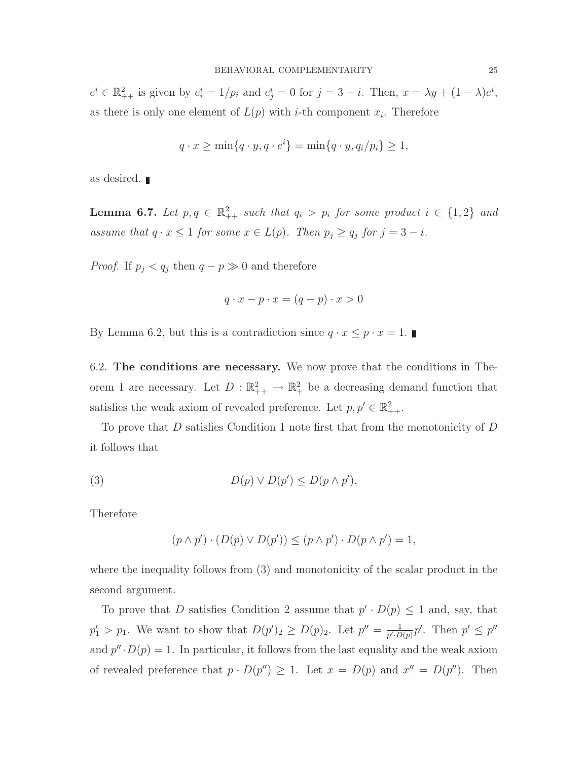$e^i \in \mathbb{R}^2_{++}$  is given by  $e^i_i = 1/p_i$  and  $e^i_j = 0$  for  $j = 3 - i$ . Then,  $x = \lambda y + (1 - \lambda)e^i$ , as there is only one element of  $L(p)$  with *i*-th component  $x_i$ . Therefore

$$
q \cdot x \ge \min\{q \cdot y, q \cdot e^i\} = \min\{q \cdot y, q_i/p_i\} \ge 1,
$$

as desired.

**Lemma 6.7.** Let  $p, q \in \mathbb{R}^2_{++}$  such that  $q_i > p_i$  for some product  $i \in \{1,2\}$  and assume that  $q \cdot x \leq 1$  for some  $x \in L(p)$ . Then  $p_j \geq q_j$  for  $j = 3 - i$ .

*Proof.* If  $p_j < q_j$  then  $q - p \gg 0$  and therefore

$$
q \cdot x - p \cdot x = (q - p) \cdot x > 0
$$

By Lemma 6.2, but this is a contradiction since  $q \cdot x \leq p \cdot x = 1$ .

6.2. The conditions are necessary. We now prove that the conditions in Theorem 1 are necessary. Let  $D: \mathbb{R}^2_{++} \to \mathbb{R}^2_{+}$  be a decreasing demand function that satisfies the weak axiom of revealed preference. Let  $p, p' \in \mathbb{R}^2_{++}$ .

To prove that D satisfies Condition 1 note first that from the monotonicity of D it follows that

(3) 
$$
D(p) \vee D(p') \leq D(p \wedge p').
$$

Therefore

$$
(p \wedge p') \cdot (D(p) \vee D(p')) \le (p \wedge p') \cdot D(p \wedge p') = 1,
$$

where the inequality follows from (3) and monotonicity of the scalar product in the second argument.

To prove that D satisfies Condition 2 assume that  $p' \cdot D(p) \leq 1$  and, say, that  $p'_1 > p_1$ . We want to show that  $D(p')_2 \ge D(p)_2$ . Let  $p'' = \frac{1}{p' \cdot D}$  $\frac{1}{p' \cdot D(p)} p'$ . Then  $p' \leq p''$ and  $p'' \cdot D(p) = 1$ . In particular, it follows from the last equality and the weak axiom of revealed preference that  $p \cdot D(p'') \geq 1$ . Let  $x = D(p)$  and  $x'' = D(p'')$ . Then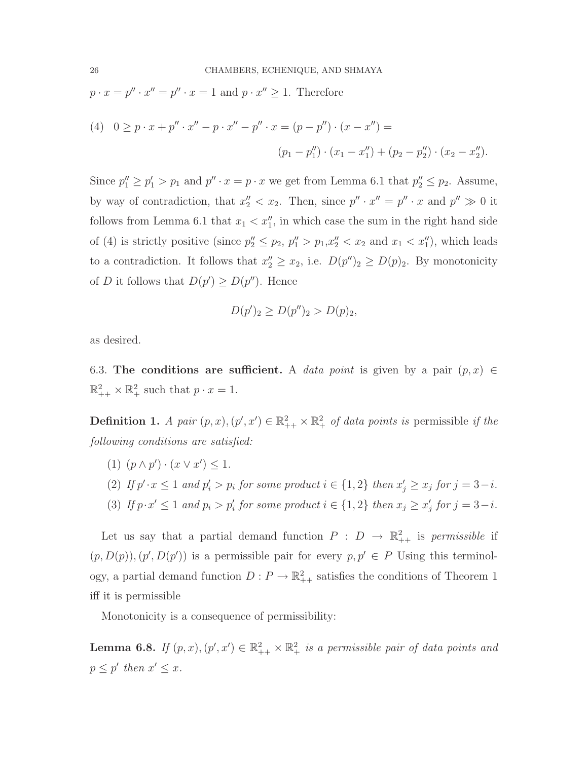$p \cdot x = p'' \cdot x'' = p'' \cdot x = 1$  and  $p \cdot x'' \ge 1$ . Therefore

(4) 
$$
0 \ge p \cdot x + p'' \cdot x'' - p \cdot x'' - p'' \cdot x = (p - p'') \cdot (x - x'') =
$$
  
\n
$$
(p_1 - p_1'') \cdot (x_1 - x_1'') + (p_2 - p_2'') \cdot (x_2 - x_2'').
$$

Since  $p''_1 \ge p'_1 > p_1$  and  $p'' \cdot x = p \cdot x$  we get from Lemma 6.1 that  $p''_2 \le p_2$ . Assume, by way of contradiction, that  $x_2'' < x_2$ . Then, since  $p'' \cdot x'' = p'' \cdot x$  and  $p'' \gg 0$  it follows from Lemma 6.1 that  $x_1 < x_1''$ , in which case the sum in the right hand side of (4) is strictly positive (since  $p_2'' \le p_2$ ,  $p_1'' > p_1, x_2'' < x_2$  and  $x_1 < x_1''$ ), which leads to a contradiction. It follows that  $x_2'' \ge x_2$ , i.e.  $D(p'')_2 \ge D(p)_2$ . By monotonicity of D it follows that  $D(p') \ge D(p'')$ . Hence

$$
D(p')_2 \ge D(p'')_2 > D(p)_2,
$$

as desired.

6.3. The conditions are sufficient. A data point is given by a pair  $(p, x) \in$  $\mathbb{R}^2_{++} \times \mathbb{R}^2_{+}$  such that  $p \cdot x = 1$ .

**Definition 1.** A pair  $(p, x), (p', x') \in \mathbb{R}^2_{++} \times \mathbb{R}^2_+$  of data points is permissible if the following conditions are satisfied:

- (1)  $(p \wedge p') \cdot (x \vee x') \leq 1.$
- (2) If  $p' \cdot x \leq 1$  and  $p'_i > p_i$  for some product  $i \in \{1,2\}$  then  $x'_j \geq x_j$  for  $j = 3-i$ .
- (3) If  $p \cdot x' \leq 1$  and  $p_i > p'_i$  for some product  $i \in \{1,2\}$  then  $x_j \geq x'_j$  for  $j = 3-i$ .

Let us say that a partial demand function  $P: D \to \mathbb{R}^2_{++}$  is permissible if  $(p, D(p)), (p', D(p'))$  is a permissible pair for every  $p, p' \in P$  Using this terminology, a partial demand function  $D: P \to \mathbb{R}^2_{++}$  satisfies the conditions of Theorem 1 iff it is permissible

Monotonicity is a consequence of permissibility:

**Lemma 6.8.** If  $(p, x), (p', x') \in \mathbb{R}^2_{++} \times \mathbb{R}^2_+$  is a permissible pair of data points and  $p \leq p'$  then  $x' \leq x$ .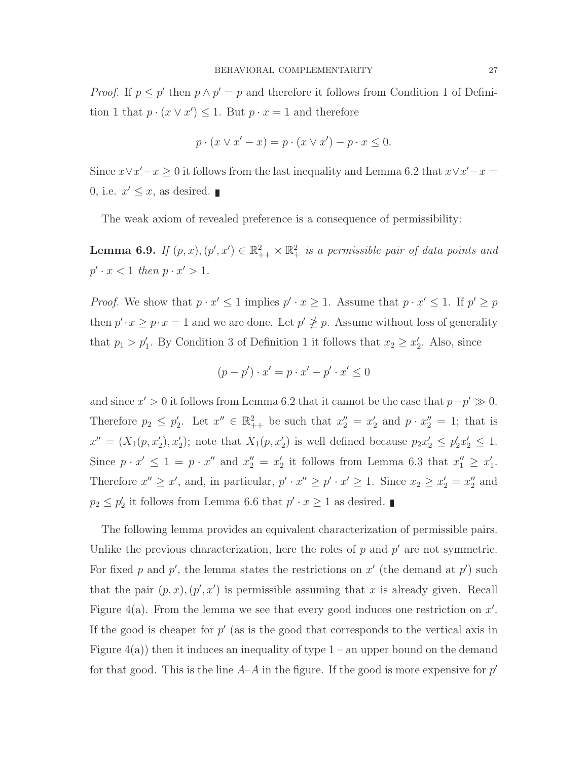*Proof.* If  $p \leq p'$  then  $p \wedge p' = p$  and therefore it follows from Condition 1 of Definition 1 that  $p \cdot (x \vee x') \leq 1$ . But  $p \cdot x = 1$  and therefore

$$
p \cdot (x \vee x' - x) = p \cdot (x \vee x') - p \cdot x \le 0.
$$

Since  $x \vee x' - x \geq 0$  it follows from the last inequality and Lemma 6.2 that  $x \vee x' - x =$ 0, i.e.  $x' \leq x$ , as desired.

The weak axiom of revealed preference is a consequence of permissibility:

**Lemma 6.9.** If  $(p, x), (p', x') \in \mathbb{R}^2_{++} \times \mathbb{R}^2_{+}$  is a permissible pair of data points and  $p' \cdot x < 1$  then  $p \cdot x' > 1$ .

*Proof.* We show that  $p \cdot x' \leq 1$  implies  $p' \cdot x \geq 1$ . Assume that  $p \cdot x' \leq 1$ . If  $p' \geq p$ then  $p' \cdot x \geq p \cdot x = 1$  and we are done. Let  $p' \not\geq p$ . Assume without loss of generality that  $p_1 > p'_1$ . By Condition 3 of Definition 1 it follows that  $x_2 \ge x'_2$ . Also, since

$$
(p - p') \cdot x' = p \cdot x' - p' \cdot x' \le 0
$$

and since  $x' > 0$  it follows from Lemma 6.2 that it cannot be the case that  $p - p' \gg 0$ . Therefore  $p_2 \leq p_2'$ . Let  $x'' \in \mathbb{R}^2_{++}$  be such that  $x_2'' = x_2'$  and  $p \cdot x_2'' = 1$ ; that is  $x'' = (X_1(p, x'_2), x'_2);$  note that  $X_1(p, x'_2)$  is well defined because  $p_2 x'_2 \le p'_2 x'_2 \le 1.$ Since  $p \cdot x' \leq 1 = p \cdot x''$  and  $x_2'' = x_2'$  it follows from Lemma 6.3 that  $x_1'' \geq x_1'$ . Therefore  $x'' \ge x'$ , and, in particular,  $p' \cdot x'' \ge p' \cdot x' \ge 1$ . Since  $x_2 \ge x'_2 = x''_2$  and  $p_2 \leq p_2'$  it follows from Lemma 6.6 that  $p' \cdot x \geq 1$  as desired.

The following lemma provides an equivalent characterization of permissible pairs. Unlike the previous characterization, here the roles of  $p$  and  $p'$  are not symmetric. For fixed p and p', the lemma states the restrictions on  $x'$  (the demand at p') such that the pair  $(p, x)$ ,  $(p', x')$  is permissible assuming that x is already given. Recall Figure 4(a). From the lemma we see that every good induces one restriction on  $x'$ . If the good is cheaper for  $p'$  (as is the good that corresponds to the vertical axis in Figure  $4(a)$ ) then it induces an inequality of type  $1 - an$  upper bound on the demand for that good. This is the line  $A-A$  in the figure. If the good is more expensive for  $p'$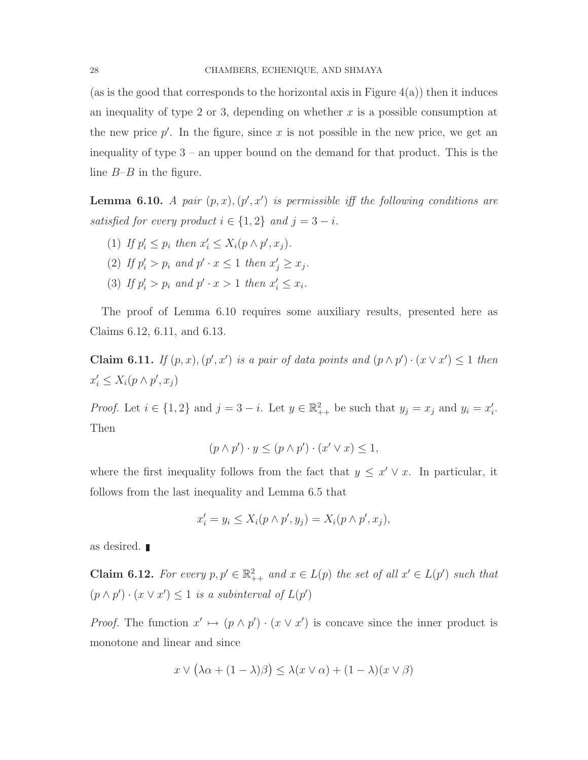(as is the good that corresponds to the horizontal axis in Figure  $4(a)$ ) then it induces an inequality of type 2 or 3, depending on whether  $x$  is a possible consumption at the new price  $p'$ . In the figure, since x is not possible in the new price, we get an inequality of type 3 – an upper bound on the demand for that product. This is the line  $B$ - $B$  in the figure.

**Lemma 6.10.** A pair  $(p, x)$ ,  $(p', x')$  is permissible iff the following conditions are satisfied for every product  $i \in \{1,2\}$  and  $j = 3 - i$ .

- (1) If  $p'_i \leq p_i$  then  $x'_i \leq X_i(p \wedge p', x_j)$ .
- (2) If  $p'_i > p_i$  and  $p' \cdot x \leq 1$  then  $x'_j \geq x_j$ .
- (3) If  $p'_i > p_i$  and  $p' \cdot x > 1$  then  $x'_i \leq x_i$ .

The proof of Lemma 6.10 requires some auxiliary results, presented here as Claims 6.12, 6.11, and 6.13.

**Claim 6.11.** If  $(p, x)$ ,  $(p', x')$  is a pair of data points and  $(p \wedge p') \cdot (x \vee x') \leq 1$  then  $x'_i \leq X_i(p \wedge p', x_j)$ 

*Proof.* Let  $i \in \{1,2\}$  and  $j=3-i$ . Let  $y \in \mathbb{R}^2_{++}$  be such that  $y_j = x_j$  and  $y_i = x'_i$ . Then

$$
(p \wedge p') \cdot y \le (p \wedge p') \cdot (x' \vee x) \le 1,
$$

where the first inequality follows from the fact that  $y \leq x' \vee x$ . In particular, it follows from the last inequality and Lemma 6.5 that

$$
x'_i = y_i \le X_i(p \wedge p', y_j) = X_i(p \wedge p', x_j),
$$

as desired.

**Claim 6.12.** For every  $p, p' \in \mathbb{R}^2_{++}$  and  $x \in L(p)$  the set of all  $x' \in L(p')$  such that  $(p \wedge p') \cdot (x \vee x') \leq 1$  is a subinterval of  $L(p')$ 

*Proof.* The function  $x' \mapsto (p \wedge p') \cdot (x \vee x')$  is concave since the inner product is monotone and linear and since

$$
x \vee (\lambda \alpha + (1 - \lambda)\beta) \leq \lambda (x \vee \alpha) + (1 - \lambda)(x \vee \beta)
$$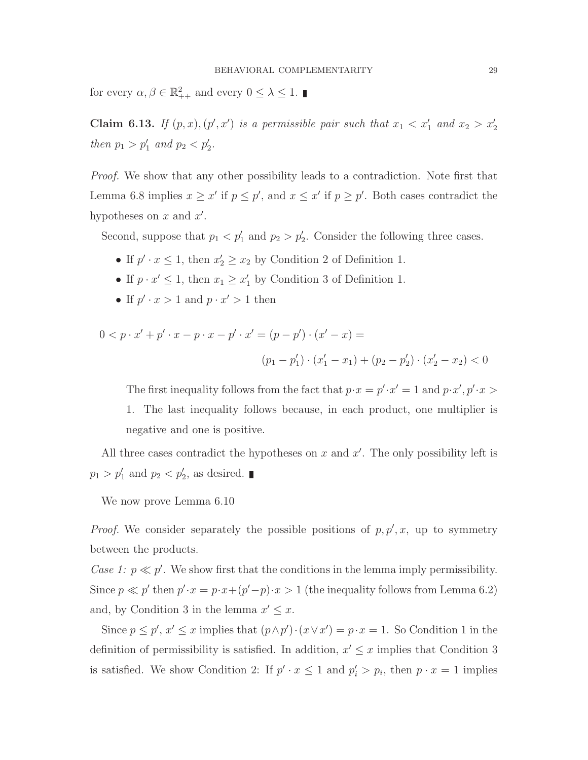for every  $\alpha, \beta \in \mathbb{R}^2_{++}$  and every  $0 \leq \lambda \leq 1$ .

Claim 6.13. If  $(p, x)$ ,  $(p', x')$  is a permissible pair such that  $x_1 < x'_1$  and  $x_2 > x'_2$ then  $p_1 > p'_1$  and  $p_2 < p'_2$ .

Proof. We show that any other possibility leads to a contradiction. Note first that Lemma 6.8 implies  $x \geq x'$  if  $p \leq p'$ , and  $x \leq x'$  if  $p \geq p'$ . Both cases contradict the hypotheses on  $x$  and  $x'$ .

Second, suppose that  $p_1 < p'_1$  and  $p_2 > p'_2$ . Consider the following three cases.

- If  $p' \cdot x \leq 1$ , then  $x'_2 \geq x_2$  by Condition 2 of Definition 1.
- If  $p \cdot x' \leq 1$ , then  $x_1 \geq x'_1$  by Condition 3 of Definition 1.
- If  $p' \cdot x > 1$  and  $p \cdot x' > 1$  then

$$
0 < p \cdot x' + p' \cdot x - p \cdot x - p' \cdot x' = (p - p') \cdot (x' - x) =
$$
\n
$$
(p_1 - p'_1) \cdot (x'_1 - x_1) + (p_2 - p'_2) \cdot (x'_2 - x_2) < 0
$$

The first inequality follows from the fact that  $p \cdot x = p' \cdot x' = 1$  and  $p \cdot x'$ ,  $p' \cdot x >$ 1. The last inequality follows because, in each product, one multiplier is negative and one is positive.

All three cases contradict the hypotheses on  $x$  and  $x'$ . The only possibility left is  $p_1 > p'_1$  and  $p_2 < p'_2$ , as desired.

We now prove Lemma 6.10

*Proof.* We consider separately the possible positions of  $p, p', x$ , up to symmetry between the products.

Case 1:  $p \ll p'$ . We show first that the conditions in the lemma imply permissibility. Since  $p \ll p'$  then  $p' \cdot x = p \cdot x + (p'-p) \cdot x > 1$  (the inequality follows from Lemma 6.2) and, by Condition 3 in the lemma  $x' \leq x$ .

Since  $p \leq p'$ ,  $x' \leq x$  implies that  $(p \wedge p') \cdot (x \vee x') = p \cdot x = 1$ . So Condition 1 in the definition of permissibility is satisfied. In addition,  $x' \leq x$  implies that Condition 3 is satisfied. We show Condition 2: If  $p' \cdot x \leq 1$  and  $p'_i > p_i$ , then  $p \cdot x = 1$  implies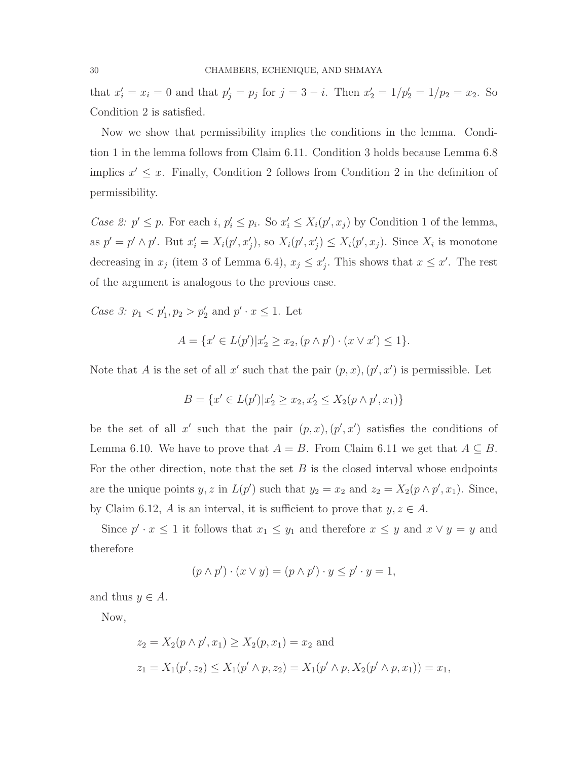that  $x'_i = x_i = 0$  and that  $p'_j = p_j$  for  $j = 3 - i$ . Then  $x'_2 = 1/p'_2 = 1/p_2 = x_2$ . So Condition 2 is satisfied.

Now we show that permissibility implies the conditions in the lemma. Condition 1 in the lemma follows from Claim 6.11. Condition 3 holds because Lemma 6.8 implies  $x' \leq x$ . Finally, Condition 2 follows from Condition 2 in the definition of permissibility.

Case 2:  $p' \leq p$ . For each i,  $p'_i \leq p_i$ . So  $x'_i \leq X_i(p', x_j)$  by Condition 1 of the lemma, as  $p' = p' \wedge p'$ . But  $x'_i = X_i(p', x'_j)$ , so  $X_i(p', x'_j) \le X_i(p', x_j)$ . Since  $X_i$  is monotone decreasing in  $x_j$  (item 3 of Lemma 6.4),  $x_j \le x'_j$ . This shows that  $x \le x'$ . The rest of the argument is analogous to the previous case.

Case 3:  $p_1 < p'_1, p_2 > p'_2$  and  $p' \cdot x \le 1$ . Let

$$
A = \{ x' \in L(p') | x_2' \ge x_2, (p \wedge p') \cdot (x \vee x') \le 1 \}.
$$

Note that A is the set of all x' such that the pair  $(p, x)$ ,  $(p', x')$  is permissible. Let

$$
B = \{x' \in L(p') | x_2' \ge x_2, x_2' \le X_2(p \wedge p', x_1)\}
$$

be the set of all x' such that the pair  $(p, x), (p', x')$  satisfies the conditions of Lemma 6.10. We have to prove that  $A = B$ . From Claim 6.11 we get that  $A \subseteq B$ . For the other direction, note that the set  $B$  is the closed interval whose endpoints are the unique points y, z in  $L(p')$  such that  $y_2 = x_2$  and  $z_2 = X_2(p \wedge p', x_1)$ . Since, by Claim 6.12, A is an interval, it is sufficient to prove that  $y, z \in A$ .

Since  $p' \cdot x \leq 1$  it follows that  $x_1 \leq y_1$  and therefore  $x \leq y$  and  $x \vee y = y$  and therefore

$$
(p \wedge p') \cdot (x \vee y) = (p \wedge p') \cdot y \le p' \cdot y = 1,
$$

and thus  $y \in A$ .

Now,

$$
z_2 = X_2(p \wedge p', x_1) \ge X_2(p, x_1) = x_2
$$
 and  
 $z_1 = X_1(p', z_2) \le X_1(p' \wedge p, z_2) = X_1(p' \wedge p, X_2(p' \wedge p, x_1)) = x_1$ ,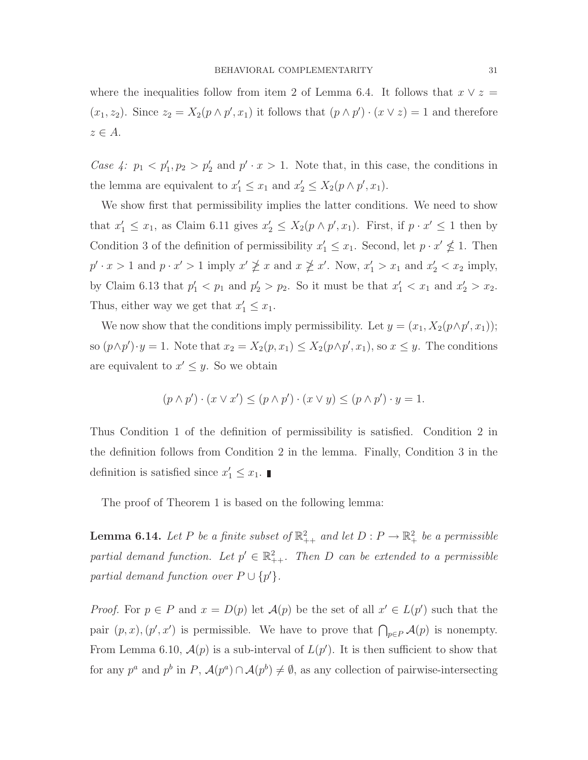where the inequalities follow from item 2 of Lemma 6.4. It follows that  $x \vee z =$  $(x_1, z_2)$ . Since  $z_2 = X_2(p \wedge p', x_1)$  it follows that  $(p \wedge p') \cdot (x \vee z) = 1$  and therefore  $z \in A$ .

Case 4:  $p_1 < p'_1, p_2 > p'_2$  and  $p' \cdot x > 1$ . Note that, in this case, the conditions in the lemma are equivalent to  $x'_1 \le x_1$  and  $x'_2 \le X_2(p \wedge p', x_1)$ .

We show first that permissibility implies the latter conditions. We need to show that  $x'_1 \leq x_1$ , as Claim 6.11 gives  $x'_2 \leq X_2(p \wedge p', x_1)$ . First, if  $p \cdot x' \leq 1$  then by Condition 3 of the definition of permissibility  $x'_1 \le x_1$ . Second, let  $p \cdot x' \nleq 1$ . Then  $p' \cdot x > 1$  and  $p \cdot x' > 1$  imply  $x' \not\geq x$  and  $x \not\geq x'$ . Now,  $x'_1 > x_1$  and  $x'_2 < x_2$  imply, by Claim 6.13 that  $p'_1 < p_1$  and  $p'_2 > p_2$ . So it must be that  $x'_1 < x_1$  and  $x'_2 > x_2$ . Thus, either way we get that  $x'_1 \leq x_1$ .

We now show that the conditions imply permissibility. Let  $y = (x_1, X_2(p \wedge p', x_1));$ so  $(p \wedge p') \cdot y = 1$ . Note that  $x_2 = X_2(p, x_1) \le X_2(p \wedge p', x_1)$ , so  $x \le y$ . The conditions are equivalent to  $x' \leq y$ . So we obtain

$$
(p \wedge p') \cdot (x \vee x') \le (p \wedge p') \cdot (x \vee y) \le (p \wedge p') \cdot y = 1.
$$

Thus Condition 1 of the definition of permissibility is satisfied. Condition 2 in the definition follows from Condition 2 in the lemma. Finally, Condition 3 in the definition is satisfied since  $x'_1 \leq x_1$ .

The proof of Theorem 1 is based on the following lemma:

**Lemma 6.14.** Let P be a finite subset of  $\mathbb{R}^2_{++}$  and let  $D: P \to \mathbb{R}^2_+$  be a permissible partial demand function. Let  $p' \in \mathbb{R}^2_{++}$ . Then D can be extended to a permissible partial demand function over  $P \cup \{p'\}.$ 

*Proof.* For  $p \in P$  and  $x = D(p)$  let  $\mathcal{A}(p)$  be the set of all  $x' \in L(p')$  such that the pair  $(p, x)$ ,  $(p', x')$  is permissible. We have to prove that  $\bigcap_{p \in P} A(p)$  is nonempty. From Lemma 6.10,  $\mathcal{A}(p)$  is a sub-interval of  $L(p')$ . It is then sufficient to show that for any  $p^a$  and  $p^b$  in  $P$ ,  $\mathcal{A}(p^a) \cap \mathcal{A}(p^b) \neq \emptyset$ , as any collection of pairwise-intersecting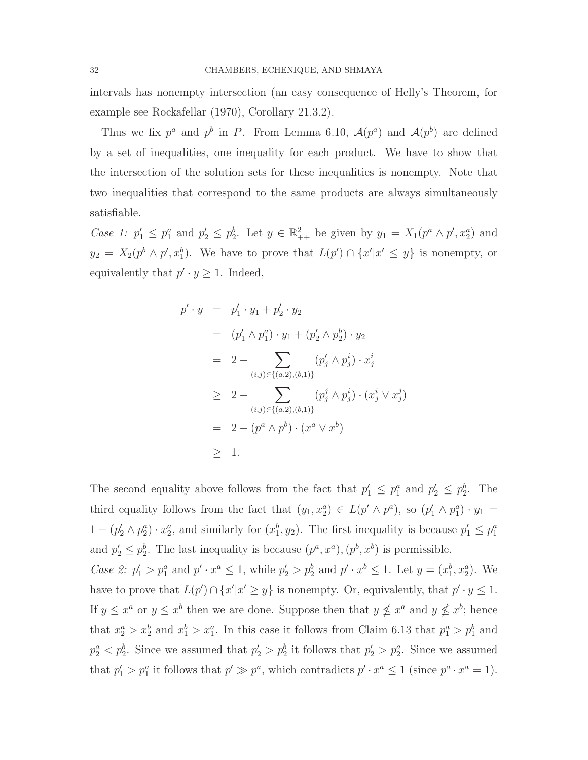intervals has nonempty intersection (an easy consequence of Helly's Theorem, for example see Rockafellar (1970), Corollary 21.3.2).

Thus we fix  $p^a$  and  $p^b$  in P. From Lemma 6.10,  $\mathcal{A}(p^a)$  and  $\mathcal{A}(p^b)$  are defined by a set of inequalities, one inequality for each product. We have to show that the intersection of the solution sets for these inequalities is nonempty. Note that two inequalities that correspond to the same products are always simultaneously satisfiable.

Case 1:  $p'_1 \leq p_1^a$  and  $p'_2 \leq p_2^b$ . Let  $y \in \mathbb{R}^2_{++}$  be given by  $y_1 = X_1(p^a \wedge p', x_2^a)$  and  $y_2 = X_2(p^b \wedge p', x_1^b)$ . We have to prove that  $L(p') \cap \{x'|x' \le y\}$  is nonempty, or equivalently that  $p' \cdot y \geq 1$ . Indeed,

$$
p' \cdot y = p'_1 \cdot y_1 + p'_2 \cdot y_2
$$
  
\n
$$
= (p'_1 \wedge p_1^a) \cdot y_1 + (p'_2 \wedge p_2^b) \cdot y_2
$$
  
\n
$$
= 2 - \sum_{(i,j) \in \{(a,2),(b,1)\}} (p'_j \wedge p_j^i) \cdot x_j^i
$$
  
\n
$$
\geq 2 - \sum_{(i,j) \in \{(a,2),(b,1)\}} (p'_j \wedge p_j^i) \cdot (x_j^i \vee x_j^j)
$$
  
\n
$$
= 2 - (p^a \wedge p^b) \cdot (x^a \vee x^b)
$$
  
\n
$$
\geq 1.
$$

The second equality above follows from the fact that  $p'_1 \n\t\leq p_1^a$  and  $p'_2 \n\t\leq p_2^b$ . The third equality follows from the fact that  $(y_1, x_2^a) \in L(p' \wedge p^a)$ , so  $(p'_1 \wedge p_1^a) \cdot y_1 =$  $1-(p'_2 \wedge p_2^a) \cdot x_2^a$ , and similarly for  $(x_1^b, y_2)$ . The first inequality is because  $p'_1 \leq p_1^a$ and  $p'_2 \leq p_2^b$ . The last inequality is because  $(p^a, x^a)$ ,  $(p^b, x^b)$  is permissible.

*Case 2:*  $p'_1 > p_1^a$  and  $p' \cdot x^a \le 1$ , while  $p'_2 > p_2^b$  and  $p' \cdot x^b \le 1$ . Let  $y = (x_1^b, x_2^a)$ . We have to prove that  $L(p') \cap \{x'|x' \geq y\}$  is nonempty. Or, equivalently, that  $p' \cdot y \leq 1$ . If  $y \leq x^a$  or  $y \leq x^b$  then we are done. Suppose then that  $y \nleq x^a$  and  $y \nleq x^b$ ; hence that  $x_2^a > x_2^b$  and  $x_1^b > x_1^a$ . In this case it follows from Claim 6.13 that  $p_1^a > p_1^b$  and  $p_2^a < p_2^b$ . Since we assumed that  $p_2' > p_2^b$  it follows that  $p_2' > p_2^a$ . Since we assumed that  $p'_1 > p_1^a$  it follows that  $p' \gg p^a$ , which contradicts  $p' \cdot x^a \leq 1$  (since  $p^a \cdot x^a = 1$ ).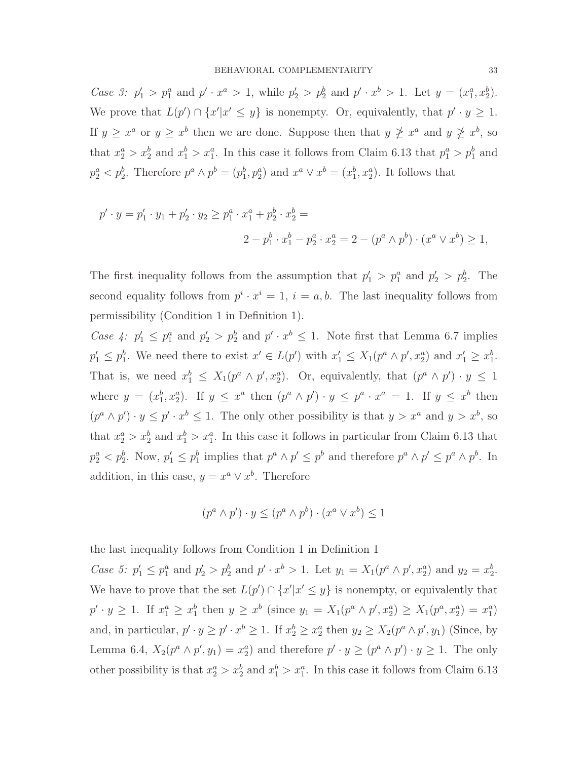Case 3:  $p'_1 > p_1^a$  and  $p' \cdot x^a > 1$ , while  $p'_2 > p_2^b$  and  $p' \cdot x^b > 1$ . Let  $y = (x_1^a, x_2^b)$ . We prove that  $L(p') \cap \{x' | x' \leq y\}$  is nonempty. Or, equivalently, that  $p' \cdot y \geq 1$ . If  $y \geq x^a$  or  $y \geq x^b$  then we are done. Suppose then that  $y \not\geq x^a$  and  $y \not\geq x^b$ , so that  $x_2^a > x_2^b$  and  $x_1^b > x_1^a$ . In this case it follows from Claim 6.13 that  $p_1^a > p_1^b$  and  $p_2^a < p_2^b$ . Therefore  $p^a \wedge p^b = (p_1^b, p_2^a)$  and  $x^a \vee x^b = (x_1^b, x_2^a)$ . It follows that

$$
p' \cdot y = p'_1 \cdot y_1 + p'_2 \cdot y_2 \ge p_1^a \cdot x_1^a + p_2^b \cdot x_2^b =
$$
  

$$
2 - p_1^b \cdot x_1^b - p_2^a \cdot x_2^a = 2 - (p^a \wedge p^b) \cdot (x^a \vee x^b) \ge 1,
$$

The first inequality follows from the assumption that  $p'_1 > p_1^a$  and  $p'_2 > p_2^b$ . The second equality follows from  $p^i \cdot x^i = 1$ ,  $i = a, b$ . The last inequality follows from permissibility (Condition 1 in Definition 1).

Case 4:  $p'_1 \leq p_1^a$  and  $p'_2 > p_2^b$  and  $p' \cdot x^b \leq 1$ . Note first that Lemma 6.7 implies  $p'_1 \leq p_1^b$ . We need there to exist  $x' \in L(p')$  with  $x'_1 \leq X_1(p^a \wedge p', x_2^a)$  and  $x'_1 \geq x_1^b$ . That is, we need  $x_1^b \leq X_1(p^a \wedge p', x_2^a)$ . Or, equivalently, that  $(p^a \wedge p') \cdot y \leq 1$ where  $y = (x_1^b, x_2^a)$ . If  $y \leq x^a$  then  $(p^a \wedge p') \cdot y \leq p^a \cdot x^a = 1$ . If  $y \leq x^b$  then  $(p^a \wedge p') \cdot y \leq p' \cdot x^b \leq 1$ . The only other possibility is that  $y > x^a$  and  $y > x^b$ , so that  $x_2^a > x_2^b$  and  $x_1^b > x_1^a$ . In this case it follows in particular from Claim 6.13 that  $p_2^a < p_2^b$ . Now,  $p_1 \le p_1^b$  implies that  $p^a \wedge p' \le p^b$  and therefore  $p^a \wedge p' \le p^a \wedge p^b$ . In addition, in this case,  $y = x^a \vee x^b$ . Therefore

$$
(p^a \wedge p') \cdot y \le (p^a \wedge p^b) \cdot (x^a \vee x^b) \le 1
$$

the last inequality follows from Condition 1 in Definition 1

Case 5:  $p'_1 \leq p_1^a$  and  $p'_2 > p_2^b$  and  $p' \cdot x^b > 1$ . Let  $y_1 = X_1(p^a \wedge p', x_2^a)$  and  $y_2 = x_2^b$ . We have to prove that the set  $L(p') \cap \{x' | x' \leq y\}$  is nonempty, or equivalently that  $p' \cdot y \ge 1$ . If  $x_1^a \ge x_1^b$  then  $y \ge x^b$  (since  $y_1 = X_1(p^a \wedge p', x_2^a) \ge X_1(p^a, x_2^a) = x_1^a$ ) and, in particular,  $p' \cdot y \ge p' \cdot x^b \ge 1$ . If  $x_2^b \ge x_2^a$  then  $y_2 \ge X_2(p^a \wedge p', y_1)$  (Since, by Lemma 6.4,  $X_2(p^a \wedge p', y_1) = x_2^a$  and therefore  $p' \cdot y \ge (p^a \wedge p') \cdot y \ge 1$ . The only other possibility is that  $x_2^a > x_2^b$  and  $x_1^b > x_1^a$ . In this case it follows from Claim 6.13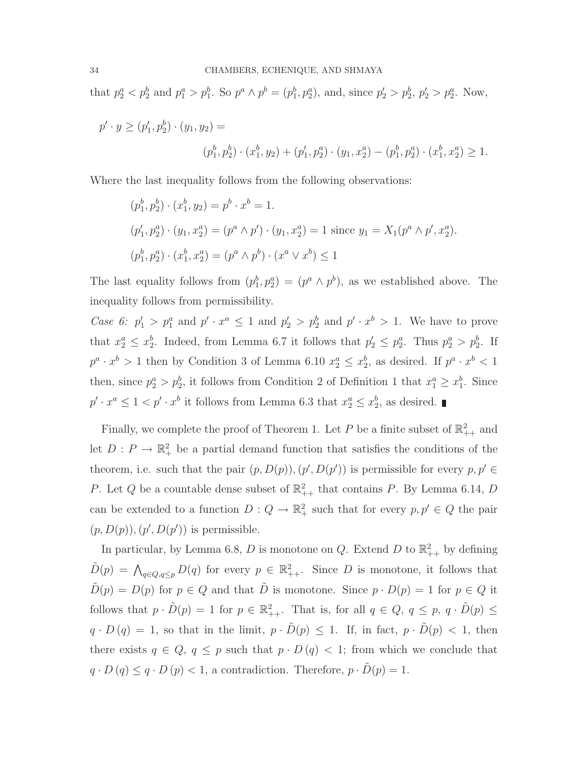that  $p_2^a < p_2^b$  and  $p_1^a > p_1^b$ . So  $p^a \wedge p^b = (p_1^b, p_2^a)$ , and, since  $p_2' > p_2^b$ ,  $p_2' > p_2^a$ . Now,

$$
p' \cdot y \ge (p'_1, p'_2) \cdot (y_1, y_2) =
$$
  

$$
(p'_1, p'_2) \cdot (x_1^b, y_2) + (p'_1, p'_2) \cdot (y_1, x_2^a) - (p'_1, p'_2) \cdot (x_1^b, x_2^a) \ge 1.
$$

Where the last inequality follows from the following observations:

$$
(p_1^b, p_2^b) \cdot (x_1^b, y_2) = p^b \cdot x^b = 1.
$$
  
\n
$$
(p_1', p_2^a) \cdot (y_1, x_2^a) = (p^a \wedge p') \cdot (y_1, x_2^a) = 1 \text{ since } y_1 = X_1(p^a \wedge p', x_2^a).
$$
  
\n
$$
(p_1^b, p_2^a) \cdot (x_1^b, x_2^a) = (p^a \wedge p^b) \cdot (x^a \vee x^b) \le 1
$$

The last equality follows from  $(p_1^b, p_2^a) = (p^a \wedge p^b)$ , as we established above. The inequality follows from permissibility.

Case 6:  $p'_1 > p_1^a$  and  $p' \cdot x^a \le 1$  and  $p'_2 > p_2^b$  and  $p' \cdot x^b > 1$ . We have to prove that  $x_2^a \leq x_2^b$ . Indeed, from Lemma 6.7 it follows that  $p'_2 \leq p_2^a$ . Thus  $p_2^a > p_2^b$ . If  $p^a \cdot x^b > 1$  then by Condition 3 of Lemma 6.10  $x_2^a \le x_2^b$ , as desired. If  $p^a \cdot x^b < 1$ then, since  $p_2^a > p_2^b$ , it follows from Condition 2 of Definition 1 that  $x_1^a \geq x_1^b$ . Since  $p' \cdot x^a \leq 1 < p' \cdot x^b$  it follows from Lemma 6.3 that  $x_2^a \leq x_2^b$ , as desired.

Finally, we complete the proof of Theorem 1. Let P be a finite subset of  $\mathbb{R}^2_{++}$  and let  $D: P \to \mathbb{R}^2_+$  be a partial demand function that satisfies the conditions of the theorem, i.e. such that the pair  $(p, D(p)), (p', D(p'))$  is permissible for every  $p, p' \in$ P. Let Q be a countable dense subset of  $\mathbb{R}^2_{++}$  that contains P. By Lemma 6.14, D can be extended to a function  $D: Q \to \mathbb{R}^2_+$  such that for every  $p, p' \in Q$  the pair  $(p, D(p)), (p', D(p'))$  is permissible.

In particular, by Lemma 6.8, D is monotone on Q. Extend D to  $\mathbb{R}^2_{++}$  by defining  $\tilde{D}(p) = \bigwedge_{q \in Q, q \leq p} D(q)$  for every  $p \in \mathbb{R}^2_{++}$ . Since D is monotone, it follows that  $\tilde{D}(p) = D(p)$  for  $p \in Q$  and that  $\tilde{D}$  is monotone. Since  $p \cdot D(p) = 1$  for  $p \in Q$  it follows that  $p \cdot \tilde{D}(p) = 1$  for  $p \in \mathbb{R}^2_{++}$ . That is, for all  $q \in Q$ ,  $q \leq p$ ,  $q \cdot \tilde{D}(p) \leq$  $q \cdot D(q) = 1$ , so that in the limit,  $p \cdot \tilde{D}(p) \leq 1$ . If, in fact,  $p \cdot \tilde{D}(p) < 1$ , then there exists  $q \in Q$ ,  $q \leq p$  such that  $p \cdot D(q) < 1$ ; from which we conclude that  $q \cdot D(q) \leq q \cdot D(p) < 1$ , a contradiction. Therefore,  $p \cdot \tilde{D}(p) = 1$ .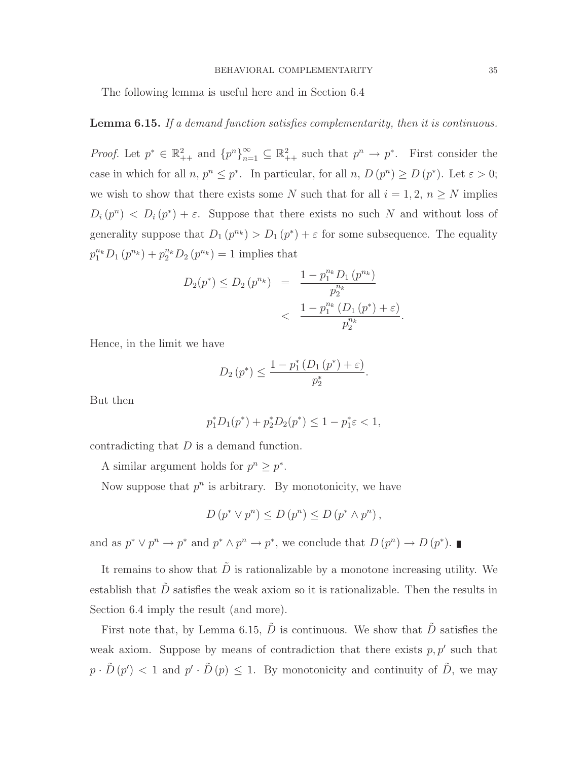The following lemma is useful here and in Section 6.4

# Lemma 6.15. If a demand function satisfies complementarity, then it is continuous.

*Proof.* Let  $p^* \in \mathbb{R}^2_{++}$  and  ${p^n}_{n=1}^{\infty} \subseteq \mathbb{R}^2_{++}$  such that  $p^n \to p^*$ . First consider the case in which for all  $n, p^n \leq p^*$ . In particular, for all  $n, D(p^n) \geq D(p^*)$ . Let  $\varepsilon > 0$ ; we wish to show that there exists some N such that for all  $i = 1, 2, n \geq N$  implies  $D_i(p^n) < D_i(p^*) + \varepsilon$ . Suppose that there exists no such N and without loss of generality suppose that  $D_1(p^{n_k}) > D_1(p^*) + \varepsilon$  for some subsequence. The equality  $p_1^{n_k}D_1(p^{n_k}) + p_2^{n_k}D_2(p^{n_k}) = 1$  implies that

$$
D_2(p^*) \le D_2(p^{n_k}) = \frac{1 - p_1^{n_k} D_1(p^{n_k})}{p_2^{n_k}} < \frac{1 - p_1^{n_k} (D_1(p^*) + \varepsilon)}{p_2^{n_k}}
$$

.

Hence, in the limit we have

$$
D_2(p^*) \le \frac{1 - p_1^* (D_1(p^*) + \varepsilon)}{p_2^*}.
$$

But then

$$
p_1^* D_1(p^*) + p_2^* D_2(p^*) \le 1 - p_1^* \varepsilon < 1,
$$

contradicting that D is a demand function.

A similar argument holds for  $p^n \geq p^*$ .

Now suppose that  $p^n$  is arbitrary. By monotonicity, we have

$$
D(p^* \vee p^n) \le D(p^n) \le D(p^* \wedge p^n),
$$

and as  $p^* \vee p^n \to p^*$  and  $p^* \wedge p^n \to p^*$ , we conclude that  $D(p^n) \to D(p^*)$ .

It remains to show that  $\ddot{D}$  is rationalizable by a monotone increasing utility. We establish that  $\tilde{D}$  satisfies the weak axiom so it is rationalizable. Then the results in Section 6.4 imply the result (and more).

First note that, by Lemma 6.15,  $\tilde{D}$  is continuous. We show that  $\tilde{D}$  satisfies the weak axiom. Suppose by means of contradiction that there exists  $p, p'$  such that  $p \cdot \tilde{D}(p') < 1$  and  $p' \cdot \tilde{D}(p) \leq 1$ . By monotonicity and continuity of  $\tilde{D}$ , we may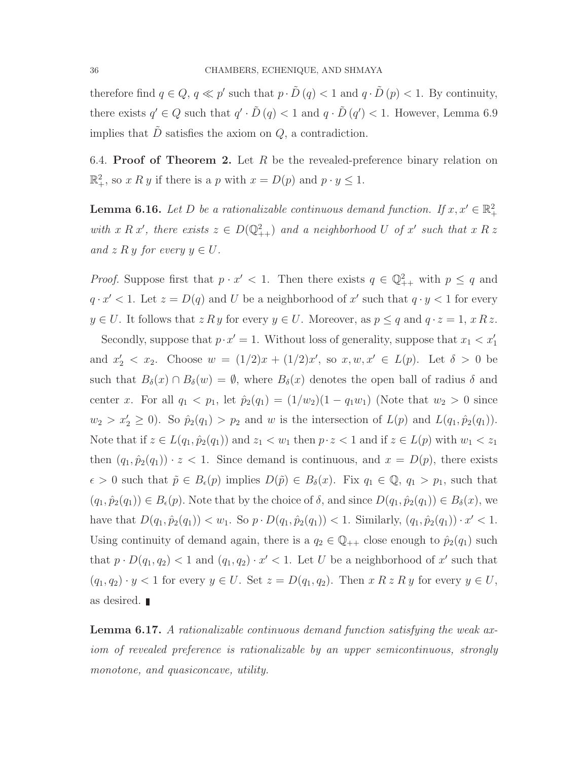therefore find  $q \in Q$ ,  $q \ll p'$  such that  $p \cdot \tilde{D}(q) < 1$  and  $q \cdot \tilde{D}(p) < 1$ . By continuity, there exists  $q' \in Q$  such that  $q' \cdot \tilde{D}(q) < 1$  and  $q \cdot \tilde{D}(q') < 1$ . However, Lemma 6.9 implies that  $\tilde{D}$  satisfies the axiom on  $Q$ , a contradiction.

6.4. Proof of Theorem 2. Let R be the revealed-preference binary relation on  $\mathbb{R}^2_+$ , so x R y if there is a p with  $x = D(p)$  and  $p \cdot y \le 1$ .

**Lemma 6.16.** Let D be a rationalizable continuous demand function. If  $x, x' \in \mathbb{R}^2_+$ with x R x', there exists  $z \in D(\mathbb{Q}^2_{++})$  and a neighborhood U of x' such that x R z and z R y for every  $y \in U$ .

*Proof.* Suppose first that  $p \cdot x' < 1$ . Then there exists  $q \in \mathbb{Q}_{++}^2$  with  $p \leq q$  and  $q \cdot x' < 1$ . Let  $z = D(q)$  and U be a neighborhood of x' such that  $q \cdot y < 1$  for every  $y \in U$ . It follows that  $z R y$  for every  $y \in U$ . Moreover, as  $p \leq q$  and  $q \cdot z = 1$ ,  $x R z$ .

Secondly, suppose that  $p \cdot x' = 1$ . Without loss of generality, suppose that  $x_1 < x_1'$ and  $x'_2 < x_2$ . Choose  $w = (1/2)x + (1/2)x'$ , so  $x, w, x' \in L(p)$ . Let  $\delta > 0$  be such that  $B_\delta(x) \cap B_\delta(w) = \emptyset$ , where  $B_\delta(x)$  denotes the open ball of radius  $\delta$  and center x. For all  $q_1 < p_1$ , let  $\hat{p}_2(q_1) = (1/w_2)(1 - q_1w_1)$  (Note that  $w_2 > 0$  since  $w_2 > x'_2 \geq 0$ . So  $\hat{p}_2(q_1) > p_2$  and w is the intersection of  $L(p)$  and  $L(q_1, \hat{p}_2(q_1))$ . Note that if  $z \in L(q_1, \hat{p}_2(q_1))$  and  $z_1 < w_1$  then  $p \cdot z < 1$  and if  $z \in L(p)$  with  $w_1 < z_1$ then  $(q_1, \hat{p}_2(q_1)) \cdot z < 1$ . Since demand is continuous, and  $x = D(p)$ , there exists  $\epsilon > 0$  such that  $\tilde{p} \in B_{\epsilon}(p)$  implies  $D(\tilde{p}) \in B_{\delta}(x)$ . Fix  $q_1 \in \mathbb{Q}, q_1 > p_1$ , such that  $(q_1, \hat{p}_2(q_1)) \in B_{\epsilon}(p)$ . Note that by the choice of  $\delta$ , and since  $D(q_1, \hat{p}_2(q_1)) \in B_{\delta}(x)$ , we have that  $D(q_1, \hat{p}_2(q_1)) < w_1$ . So  $p \cdot D(q_1, \hat{p}_2(q_1)) < 1$ . Similarly,  $(q_1, \hat{p}_2(q_1)) \cdot x' < 1$ . Using continuity of demand again, there is a  $q_2 \in \mathbb{Q}_{++}$  close enough to  $\hat{p}_2(q_1)$  such that  $p \cdot D(q_1, q_2) < 1$  and  $(q_1, q_2) \cdot x' < 1$ . Let U be a neighborhood of x' such that  $(q_1, q_2) \cdot y < 1$  for every  $y \in U$ . Set  $z = D(q_1, q_2)$ . Then  $x R z R y$  for every  $y \in U$ , as desired.

Lemma 6.17. A rationalizable continuous demand function satisfying the weak axiom of revealed preference is rationalizable by an upper semicontinuous, strongly monotone, and quasiconcave, utility.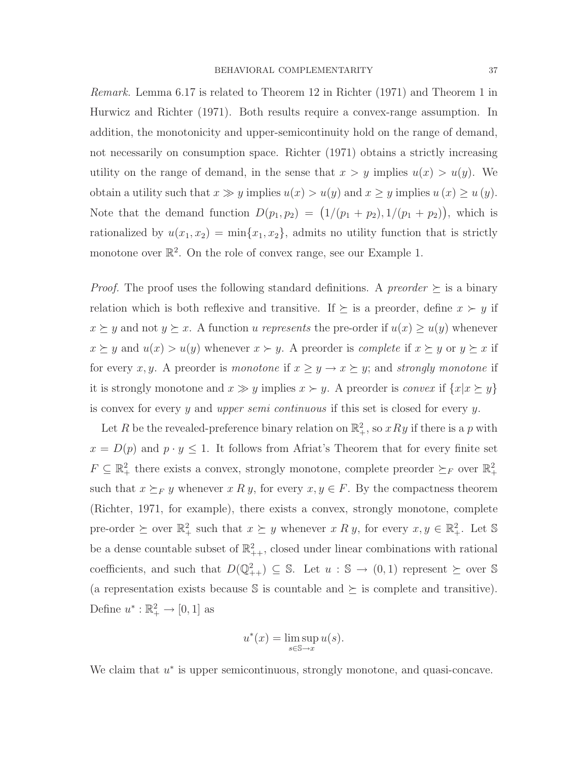Remark. Lemma 6.17 is related to Theorem 12 in Richter (1971) and Theorem 1 in Hurwicz and Richter (1971). Both results require a convex-range assumption. In addition, the monotonicity and upper-semicontinuity hold on the range of demand, not necessarily on consumption space. Richter (1971) obtains a strictly increasing utility on the range of demand, in the sense that  $x > y$  implies  $u(x) > u(y)$ . We obtain a utility such that  $x \gg y$  implies  $u(x) > u(y)$  and  $x \geq y$  implies  $u(x) \geq u(y)$ . Note that the demand function  $D(p_1, p_2) = (1/(p_1 + p_2), 1/(p_1 + p_2))$ , which is rationalized by  $u(x_1, x_2) = \min\{x_1, x_2\}$ , admits no utility function that is strictly monotone over  $\mathbb{R}^2$ . On the role of convex range, see our Example 1.

*Proof.* The proof uses the following standard definitions. A *preorder*  $\succeq$  is a binary relation which is both reflexive and transitive. If  $\succeq$  is a preorder, define  $x \succ y$  if  $x \succeq y$  and not  $y \succeq x$ . A function u represents the pre-order if  $u(x) \ge u(y)$  whenever  $x \succeq y$  and  $u(x) > u(y)$  whenever  $x \succ y$ . A preorder is *complete* if  $x \succeq y$  or  $y \succeq x$  if for every x, y. A preorder is monotone if  $x \ge y \to x \succeq y$ ; and strongly monotone if it is strongly monotone and  $x \gg y$  implies  $x \succ y$ . A preorder is *convex* if  $\{x | x \succeq y\}$ is convex for every y and upper semi continuous if this set is closed for every y.

Let R be the revealed-preference binary relation on  $\mathbb{R}^2_+$ , so  $xRy$  if there is a p with  $x = D(p)$  and  $p \cdot y \leq 1$ . It follows from Africat's Theorem that for every finite set  $F \subseteq \mathbb{R}^2_+$  there exists a convex, strongly monotone, complete preorder  $\succeq_F$  over  $\mathbb{R}^2_+$ such that  $x \succeq_F y$  whenever  $x R y$ , for every  $x, y \in F$ . By the compactness theorem (Richter, 1971, for example), there exists a convex, strongly monotone, complete pre-order  $\succeq$  over  $\mathbb{R}^2_+$  such that  $x \succeq y$  whenever  $x R y$ , for every  $x, y \in \mathbb{R}^2_+$ . Let S be a dense countable subset of  $\mathbb{R}^2_{++}$ , closed under linear combinations with rational coefficients, and such that  $D(\mathbb{Q}^2_{++}) \subseteq \mathbb{S}$ . Let  $u : \mathbb{S} \to (0,1)$  represent  $\succeq$  over  $\mathbb{S}$ (a representation exists because  $\mathcal{S}$  is countable and  $\succeq$  is complete and transitive). Define  $u^*: \mathbb{R}_+^2 \to [0,1]$  as

$$
u^*(x) = \limsup_{s \in \mathbb{S} \to x} u(s).
$$

We claim that  $u^*$  is upper semicontinuous, strongly monotone, and quasi-concave.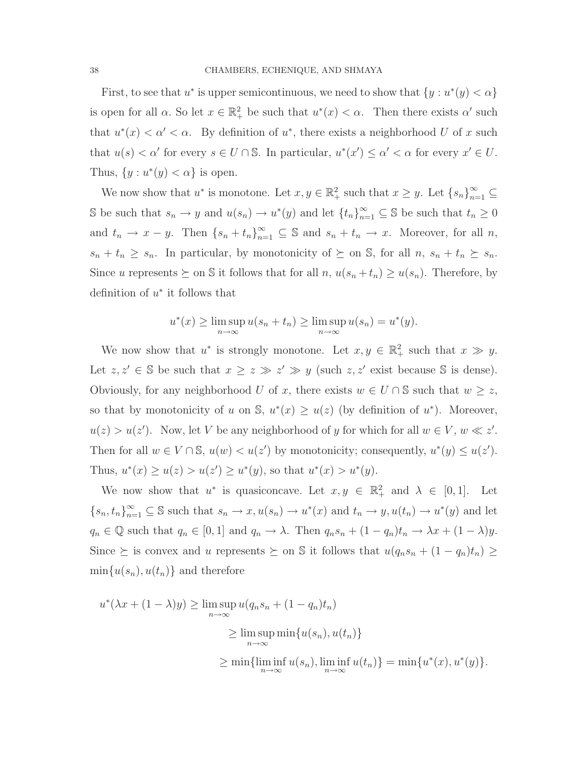First, to see that  $u^*$  is upper semicontinuous, we need to show that  $\{y : u^*(y) < \alpha\}$ is open for all  $\alpha$ . So let  $x \in \mathbb{R}^2_+$  be such that  $u^*(x) < \alpha$ . Then there exists  $\alpha'$  such that  $u^*(x) < \alpha' < \alpha$ . By definition of  $u^*$ , there exists a neighborhood U of x such that  $u(s) < \alpha'$  for every  $s \in U \cap \mathbb{S}$ . In particular,  $u^*(x') \leq \alpha' < \alpha$  for every  $x' \in U$ . Thus,  $\{y : u^*(y) < \alpha\}$  is open.

We now show that  $u^*$  is monotone. Let  $x, y \in \mathbb{R}^2_+$  such that  $x \geq y$ . Let  $\{s_n\}_{n=1}^{\infty} \subseteq$  $\mathbb S$  be such that  $s_n \to y$  and  $u(s_n) \to u^*(y)$  and let  $\{t_n\}_{n=1}^{\infty} \subseteq \mathbb S$  be such that  $t_n \geq 0$ and  $t_n \to x - y$ . Then  $\{s_n + t_n\}_{n=1}^{\infty} \subseteq \mathbb{S}$  and  $s_n + t_n \to x$ . Moreover, for all n,  $s_n + t_n \geq s_n$ . In particular, by monotonicity of  $\succeq$  on S, for all  $n, s_n + t_n \succeq s_n$ . Since u represents  $\succeq$  on S it follows that for all n,  $u(s_n + t_n) \ge u(s_n)$ . Therefore, by definition of  $u^*$  it follows that

$$
u^*(x) \ge \limsup_{n \to \infty} u(s_n + t_n) \ge \limsup_{n \to \infty} u(s_n) = u^*(y).
$$

We now show that  $u^*$  is strongly monotone. Let  $x, y \in \mathbb{R}^2_+$  such that  $x \gg y$ . Let  $z, z' \in \mathbb{S}$  be such that  $x \geq z \gg z' \gg y$  (such  $z, z'$  exist because  $\mathbb{S}$  is dense). Obviously, for any neighborhood U of x, there exists  $w \in U \cap \mathbb{S}$  such that  $w \geq z$ , so that by monotonicity of u on S,  $u^*(x) \geq u(z)$  (by definition of  $u^*$ ). Moreover,  $u(z) > u(z')$ . Now, let V be any neighborhood of y for which for all  $w \in V$ ,  $w \ll z'$ . Then for all  $w \in V \cap \mathbb{S}$ ,  $u(w) < u(z')$  by monotonicity; consequently,  $u^*(y) \leq u(z')$ . Thus,  $u^*(x) \ge u(z) > u(z') \ge u^*(y)$ , so that  $u^*(x) > u^*(y)$ .

We now show that  $u^*$  is quasiconcave. Let  $x, y \in \mathbb{R}^2_+$  and  $\lambda \in [0, 1]$ . Let  ${s_n, t_n}_{n=1}^{\infty} \subseteq \mathbb{S}$  such that  $s_n \to x, u(s_n) \to u^*(x)$  and  $t_n \to y, u(t_n) \to u^*(y)$  and let  $q_n \in \mathbb{Q}$  such that  $q_n \in [0,1]$  and  $q_n \to \lambda$ . Then  $q_n s_n + (1-q_n)t_n \to \lambda x + (1-\lambda)y$ . Since  $\succeq$  is convex and u represents  $\succeq$  on S it follows that  $u(q_n s_n + (1 - q_n)t_n) \ge$  $\min\{u(s_n), u(t_n)\}\$ and therefore

$$
u^*(\lambda x + (1 - \lambda)y) \ge \limsup_{n \to \infty} u(q_n s_n + (1 - q_n)t_n)
$$
  
 
$$
\ge \limsup_{n \to \infty} \min\{u(s_n), u(t_n)\}
$$
  
 
$$
\ge \min\{\liminf_{n \to \infty} u(s_n), \liminf_{n \to \infty} u(t_n)\} = \min\{u^*(x), u^*(y)\}.
$$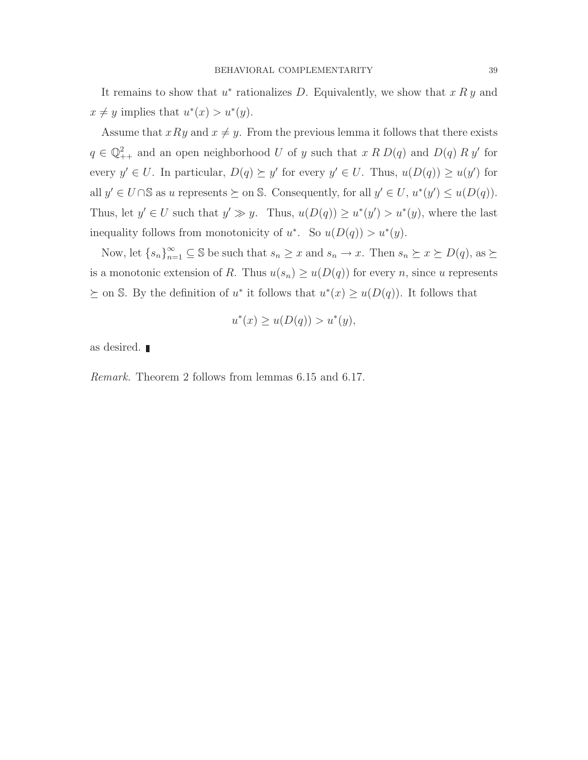It remains to show that  $u^*$  rationalizes D. Equivalently, we show that  $x R y$  and  $x \neq y$  implies that  $u^*(x) > u^*(y)$ .

Assume that  $xRy$  and  $x \neq y$ . From the previous lemma it follows that there exists  $q \in \mathbb{Q}_{++}^2$  and an open neighborhood U of y such that  $x R D(q)$  and  $D(q) R y'$  for every  $y' \in U$ . In particular,  $D(q) \succeq y'$  for every  $y' \in U$ . Thus,  $u(D(q)) \geq u(y')$  for all  $y' \in U \cap \mathbb{S}$  as u represents  $\succeq$  on  $\mathbb{S}$ . Consequently, for all  $y' \in U$ ,  $u^*(y') \leq u(D(q))$ . Thus, let  $y' \in U$  such that  $y' \gg y$ . Thus,  $u(D(q)) \geq u^*(y') > u^*(y)$ , where the last inequality follows from monotonicity of  $u^*$ . So  $u(D(q)) > u^*(y)$ .

Now, let  $\{s_n\}_{n=1}^{\infty} \subseteq \mathbb{S}$  be such that  $s_n \geq x$  and  $s_n \to x$ . Then  $s_n \geq x \geq D(q)$ , as  $\succeq$ is a monotonic extension of R. Thus  $u(s_n) \geq u(D(q))$  for every n, since u represents  $\succeq$  on S. By the definition of u<sup>\*</sup> it follows that  $u^*(x) \geq u(D(q))$ . It follows that

$$
u^*(x) \ge u(D(q)) > u^*(y),
$$

as desired.

Remark. Theorem 2 follows from lemmas 6.15 and 6.17.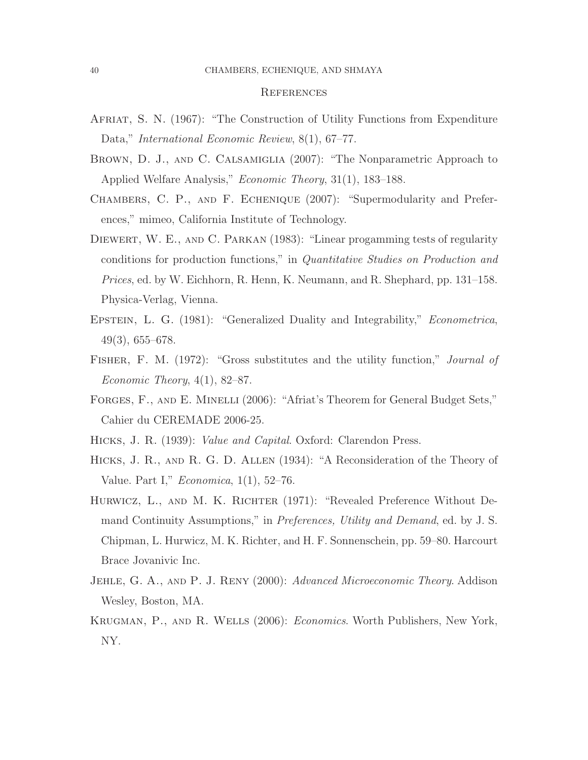#### **REFERENCES**

- Afriat, S. N. (1967): "The Construction of Utility Functions from Expenditure Data," International Economic Review, 8(1), 67–77.
- Brown, D. J., and C. Calsamiglia (2007): "The Nonparametric Approach to Applied Welfare Analysis," Economic Theory, 31(1), 183–188.
- Chambers, C. P., and F. Echenique (2007): "Supermodularity and Preferences," mimeo, California Institute of Technology.
- DIEWERT, W. E., AND C. PARKAN (1983): "Linear progamming tests of regularity conditions for production functions," in Quantitative Studies on Production and Prices, ed. by W. Eichhorn, R. Henn, K. Neumann, and R. Shephard, pp. 131–158. Physica-Verlag, Vienna.
- EPSTEIN, L. G. (1981): "Generalized Duality and Integrability," *Econometrica*, 49(3), 655–678.
- FISHER, F. M. (1972): "Gross substitutes and the utility function," *Journal of* Economic Theory,  $4(1)$ , 82–87.
- FORGES, F., AND E. MINELLI (2006): "Afriat's Theorem for General Budget Sets," Cahier du CEREMADE 2006-25.
- Hicks, J. R. (1939): Value and Capital. Oxford: Clarendon Press.
- Hicks, J. R., and R. G. D. Allen (1934): "A Reconsideration of the Theory of Value. Part I," Economica, 1(1), 52–76.
- HURWICZ, L., AND M. K. RICHTER (1971): "Revealed Preference Without Demand Continuity Assumptions," in Preferences, Utility and Demand, ed. by J. S. Chipman, L. Hurwicz, M. K. Richter, and H. F. Sonnenschein, pp. 59–80. Harcourt Brace Jovanivic Inc.
- JEHLE, G. A., AND P. J. RENY (2000): Advanced Microeconomic Theory. Addison Wesley, Boston, MA.
- Krugman, P., and R. Wells (2006): Economics. Worth Publishers, New York, NY.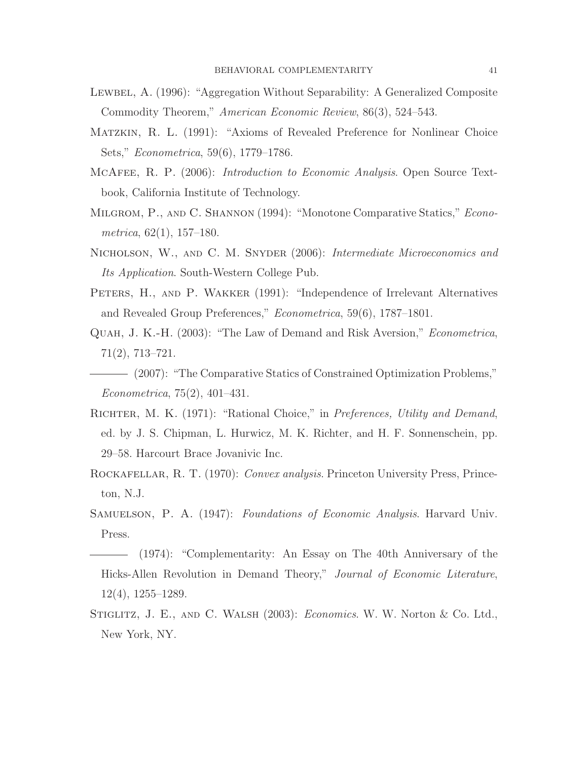- LEWBEL, A. (1996): "Aggregation Without Separability: A Generalized Composite Commodity Theorem," American Economic Review, 86(3), 524–543.
- Matzkin, R. L. (1991): "Axioms of Revealed Preference for Nonlinear Choice Sets," Econometrica, 59(6), 1779–1786.
- MCAFEE, R. P. (2006): *Introduction to Economic Analysis*. Open Source Textbook, California Institute of Technology.
- MILGROM, P., AND C. SHANNON (1994): "Monotone Comparative Statics," *Econo*metrica,  $62(1)$ ,  $157-180$ .
- NICHOLSON, W., AND C. M. SNYDER (2006): Intermediate Microeconomics and Its Application. South-Western College Pub.
- PETERS, H., AND P. WAKKER (1991): "Independence of Irrelevant Alternatives and Revealed Group Preferences," Econometrica, 59(6), 1787-1801.
- Quah, J. K.-H. (2003): "The Law of Demand and Risk Aversion," Econometrica, 71(2), 713–721.
- (2007): "The Comparative Statics of Constrained Optimization Problems," Econometrica, 75(2), 401–431.
- RICHTER, M. K. (1971): "Rational Choice," in Preferences, Utility and Demand, ed. by J. S. Chipman, L. Hurwicz, M. K. Richter, and H. F. Sonnenschein, pp. 29–58. Harcourt Brace Jovanivic Inc.
- ROCKAFELLAR, R. T. (1970): Convex analysis. Princeton University Press, Princeton, N.J.
- SAMUELSON, P. A. (1947): Foundations of Economic Analysis. Harvard Univ. Press.
- (1974): "Complementarity: An Essay on The 40th Anniversary of the Hicks-Allen Revolution in Demand Theory," Journal of Economic Literature, 12(4), 1255–1289.
- STIGLITZ, J. E., AND C. WALSH (2003): *Economics*. W. W. Norton & Co. Ltd., New York, NY.